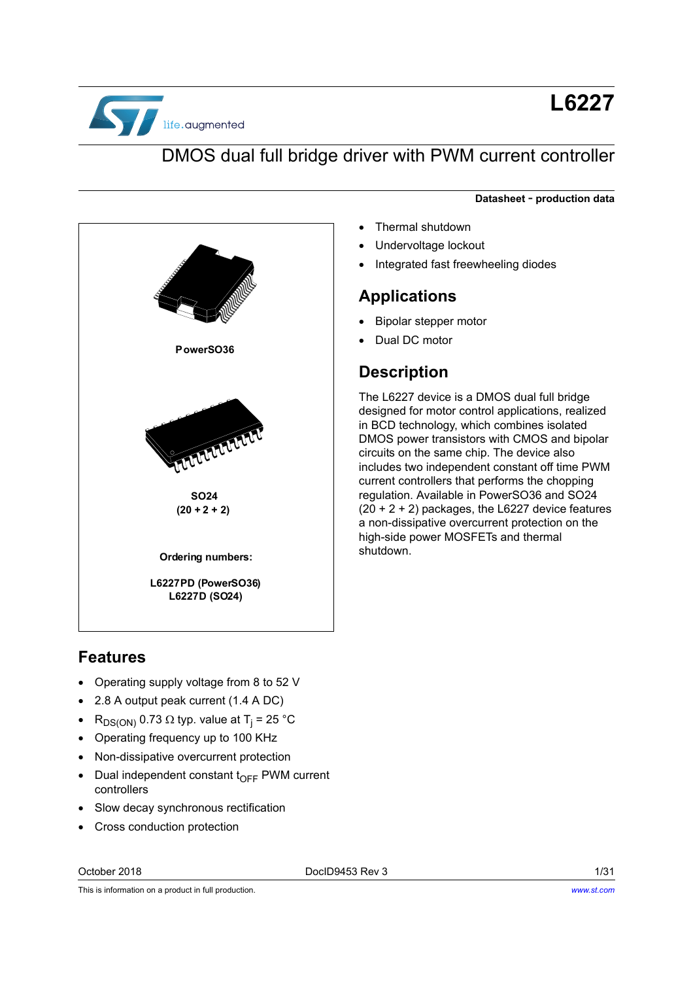

# **L6227**

## DMOS dual full bridge driver with PWM current controller

#### **Datasheet** - **production data**

- Thermal shutdown
- Undervoltage lockout
- Integrated fast freewheeling diodes

#### **Applications**

- Bipolar stepper motor
- Dual DC motor

## **Description**

The L6227 device is a DMOS dual full bridge designed for motor control applications, realized in BCD technology, which combines isolated DMOS power transistors with CMOS and bipolar circuits on the same chip. The device also includes two independent constant off time PWM current controllers that performs the chopping regulation. Available in PowerSO36 and SO24  $(20 + 2 + 2)$  packages, the L6227 device features a non-dissipative overcurrent protection on the high-side power MOSFETs and thermal

PowerSO36 TUTTUT T **62**  $(20 + 2 + 2)$ **Ordering numbers:** 2008 Shutdown. L6227PD (PowerSO36) L6227D (SO24)

## **Features**

- Operating supply voltage from 8 to 52 V
- 2.8 A output peak current (1.4 A DC)
- $\bullet$  R<sub>DS(ON)</sub> 0.73 Ω typ. value at T<sub>j</sub> = 25 °C
- Operating frequency up to 100 KHz
- Non-dissipative overcurrent protection
- $\bullet$  Dual independent constant t<sub>OFF</sub> PWM current controllers
- Slow decay synchronous rectification
- Cross conduction protection

October 2018 DocID9453 Rev 3 1/31

This is information on a product in full production.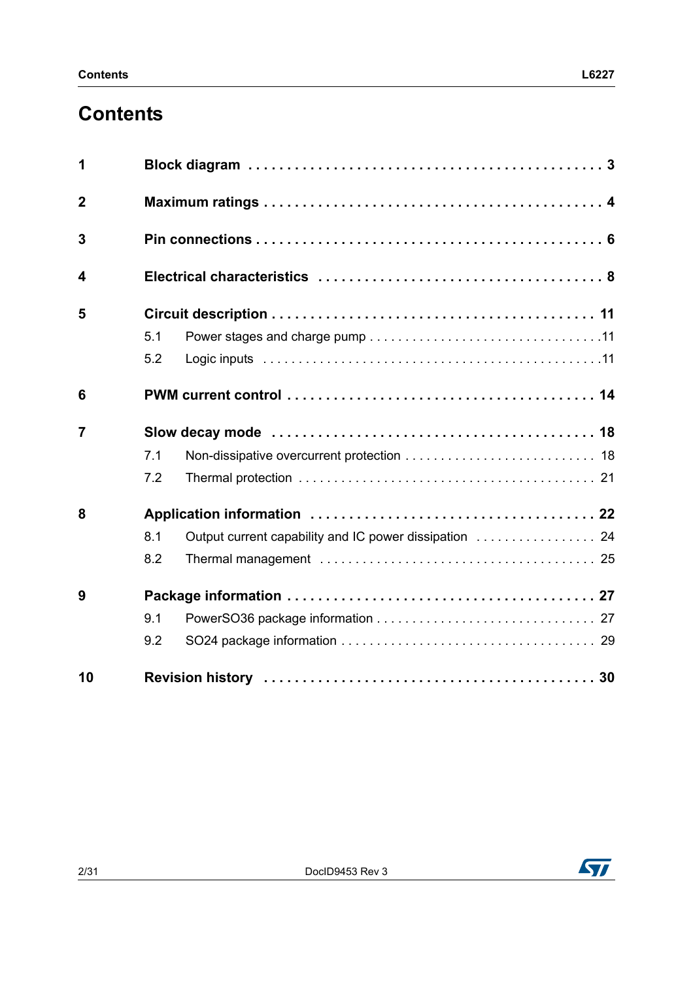# **Contents**

| 1              |     |                                                        |  |  |  |  |  |  |
|----------------|-----|--------------------------------------------------------|--|--|--|--|--|--|
| $\mathbf 2$    |     |                                                        |  |  |  |  |  |  |
| 3              |     |                                                        |  |  |  |  |  |  |
| 4              |     |                                                        |  |  |  |  |  |  |
| 5              |     |                                                        |  |  |  |  |  |  |
|                | 5.1 |                                                        |  |  |  |  |  |  |
|                | 5.2 |                                                        |  |  |  |  |  |  |
| 6              |     |                                                        |  |  |  |  |  |  |
| $\overline{7}$ |     |                                                        |  |  |  |  |  |  |
|                | 7.1 |                                                        |  |  |  |  |  |  |
|                | 7.2 |                                                        |  |  |  |  |  |  |
| 8              |     |                                                        |  |  |  |  |  |  |
|                | 8.1 | Output current capability and IC power dissipation  24 |  |  |  |  |  |  |
|                | 8.2 |                                                        |  |  |  |  |  |  |
| 9              |     |                                                        |  |  |  |  |  |  |
|                | 9.1 |                                                        |  |  |  |  |  |  |
|                | 9.2 |                                                        |  |  |  |  |  |  |
| 10             |     |                                                        |  |  |  |  |  |  |

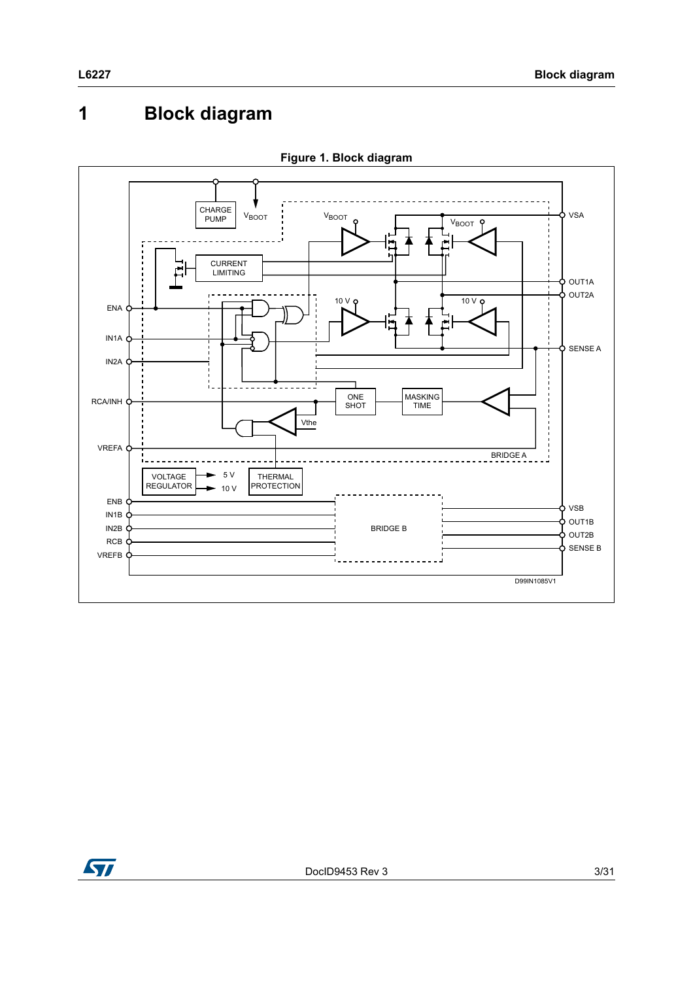# <span id="page-2-0"></span>**1 Block diagram**



**Figure 1. Block diagram**

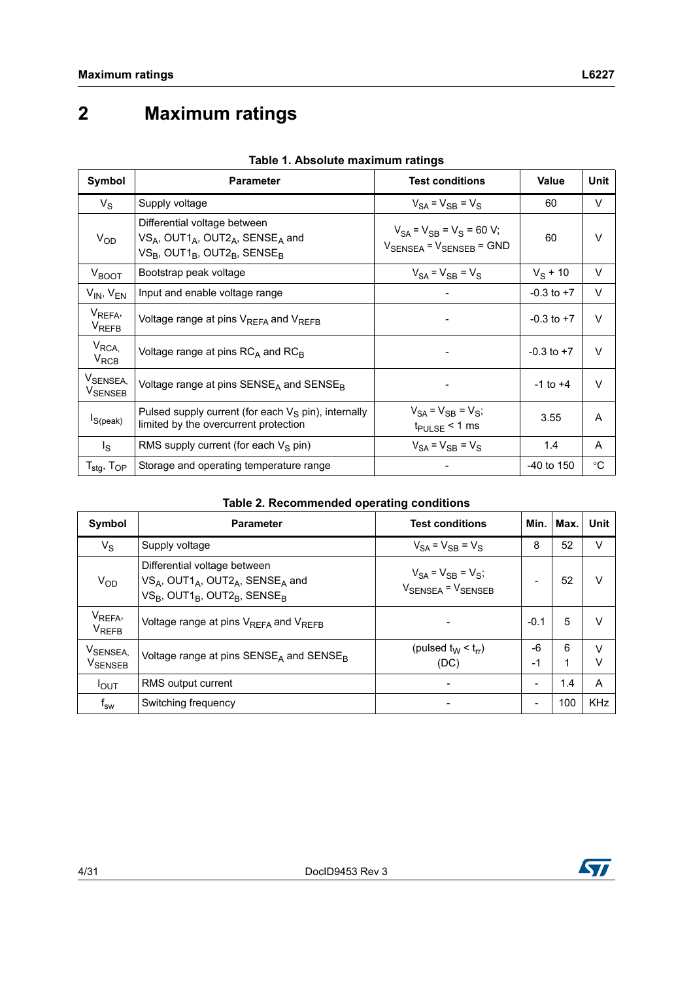# <span id="page-3-0"></span>**2 Maximum ratings**

| Symbol                                           | <b>Parameter</b>                                                                                                                                                                        | <b>Test conditions</b>                                                             | Value          | Unit            |
|--------------------------------------------------|-----------------------------------------------------------------------------------------------------------------------------------------------------------------------------------------|------------------------------------------------------------------------------------|----------------|-----------------|
| $V_{\rm S}$                                      | Supply voltage                                                                                                                                                                          | $V_{SA} = V_{SB} = V_S$                                                            | 60             | V               |
| $V_{OD}$                                         | Differential voltage between<br>$VS_A$ , OUT1 <sub>A</sub> , OUT2 <sub>A</sub> , SENSE <sub>A</sub> and<br>VS <sub>B</sub> , OUT1 <sub>B</sub> , OUT2 <sub>B</sub> , SENSE <sub>B</sub> | $V_{SA} = V_{SB} = V_S = 60 V;$<br>$V_{\text{SENSEA}}$ = $V_{\text{SENSEB}}$ = GND | 60             | $\vee$          |
| $V_{\text{BOOT}}$                                | Bootstrap peak voltage                                                                                                                                                                  | $V_{SA} = V_{SB} = V_S$                                                            | $V_S$ + 10     | V               |
| $V_{IN}$ , $V_{EN}$                              | Input and enable voltage range                                                                                                                                                          | -                                                                                  | $-0.3$ to $+7$ | $\vee$          |
| V <sub>REFA</sub> ,<br><b>V<sub>REFB</sub></b>   | Voltage range at pins V <sub>REFA</sub> and V <sub>REFB</sub>                                                                                                                           |                                                                                    | $-0.3$ to $+7$ | $\vee$          |
| $V_{RCA}$<br>$V_{RCB}$                           | Voltage range at pins $RC_A$ and $RC_B$                                                                                                                                                 |                                                                                    | $-0.3$ to $+7$ | $\vee$          |
| VSENSEA,<br>V <sub>SENSEB</sub>                  | Voltage range at pins $SENSE_A$ and $SENSE_B$                                                                                                                                           |                                                                                    | $-1$ to $+4$   | $\vee$          |
| $Is$ (peak)                                      | Pulsed supply current (for each $V_S$ pin), internally<br>limited by the overcurrent protection                                                                                         | $V_{SA} = V_{SB} = V_{S}$ ;<br>$t_{\text{PULSE}}$ < 1 ms                           | 3.55           | A               |
| l <sub>S</sub>                                   | RMS supply current (for each $V_S$ pin)                                                                                                                                                 | $V_{SA} = V_{SB} = V_S$                                                            | 1.4            | A               |
| $\mathsf{T}_{\text{stg}},\mathsf{T}_{\text{OP}}$ | Storage and operating temperature range                                                                                                                                                 |                                                                                    | $-40$ to 150   | $\rm ^{\circ}C$ |

| Table 1. Absolute maximum ratings |
|-----------------------------------|
|-----------------------------------|

#### **Table 2. Recommended operating conditions**

<span id="page-3-1"></span>

| Symbol                                         | <b>Parameter</b>                                                                                                                                       | <b>Test conditions</b>                                                   | Min.       | Max.   | <b>Unit</b> |
|------------------------------------------------|--------------------------------------------------------------------------------------------------------------------------------------------------------|--------------------------------------------------------------------------|------------|--------|-------------|
| $V_S$                                          | Supply voltage                                                                                                                                         | $V_{SA} = V_{SB} = V_S$                                                  | 8          | 52     | $\vee$      |
| $V_{OD}$                                       | Differential voltage between<br>$VS_A$ , OUT1 <sub>A</sub> , OUT2 <sub>A</sub> , SENSE <sub>A</sub> and<br>$VS_B$ , OUT1 $_B$ , OUT2 $_B$ , SENSE $_B$ | $V_{SA} = V_{SB} = V_{S}$ ;<br>V <sub>SENSEA</sub> = V <sub>SENSEB</sub> |            | 52     | v           |
| V <sub>REFA</sub> ,<br><b>V<sub>REFB</sub></b> | Voltage range at pins $V_{RFFA}$ and $V_{RFFB}$                                                                                                        |                                                                          | $-0.1$     | 5      | V           |
| V <sub>SENSEA,</sub><br>V <sub>SENSEB</sub>    | Voltage range at pins $SENSE_A$ and $SENSE_B$                                                                                                          | (pulsed $t_W < t_{rr}$ )<br>(DC)                                         | -6<br>$-1$ | 6<br>1 | $\vee$<br>ν |
| $I_{\text{OUT}}$                               | RMS output current                                                                                                                                     | -                                                                        | ۰          | 1.4    | A           |
| $\mathsf{f}_\mathsf{sw}$                       | Switching frequency                                                                                                                                    |                                                                          | -          | 100    | <b>KHz</b>  |

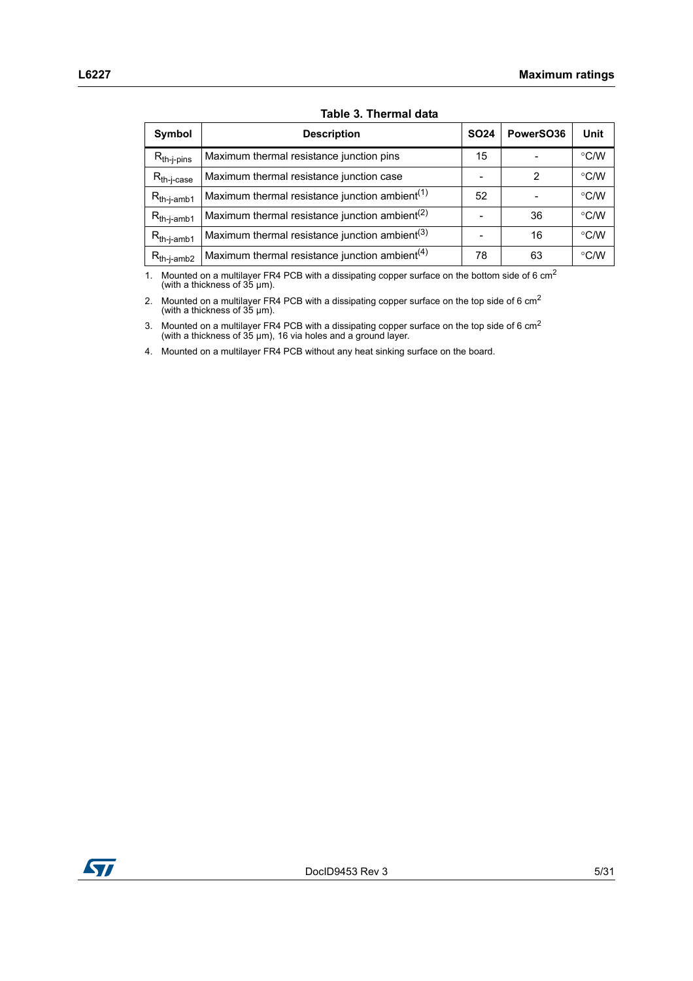| <b>Symbol</b>                                                     | <b>Description</b>                                         | <b>SO24</b> | PowerSO36 | Unit          |
|-------------------------------------------------------------------|------------------------------------------------------------|-------------|-----------|---------------|
| $R_{th-j-pins}$                                                   | Maximum thermal resistance junction pins                   | 15          |           | °C/W          |
| $R_{th-j-case}$                                                   | Maximum thermal resistance junction case                   |             | 2         | °C/W          |
| $\mathsf{R}_{\mathsf{th}\text{-}\mathsf{j}\text{-}\mathsf{amb1}}$ | Maximum thermal resistance junction ambient <sup>(1)</sup> | 52          |           | $\degree$ C/W |
| $R_{th-j-amb1}$                                                   | Maximum thermal resistance junction ambient <sup>(2)</sup> |             | 36        | $\degree$ C/W |
| $R_{th-j-amb1}$                                                   | Maximum thermal resistance junction ambient <sup>(3)</sup> |             | 16        | $\degree$ C/W |
| $R_{th-j-amb2}$                                                   | Maximum thermal resistance junction ambient <sup>(4)</sup> | 78          | 63        | $\degree$ C/W |

1. Mounted on a multilayer FR4 PCB with a dissipating copper surface on the bottom side of 6 cm<sup>2</sup> (with a thickness of 35  $\mu$ m).

2. Mounted on a multilayer FR4 PCB with a dissipating copper surface on the top side of 6  $cm<sup>2</sup>$ (with a thickness of 35 µm).

3. Mounted on a multilayer FR4 PCB with a dissipating copper surface on the top side of 6 cm<sup>2</sup> (with a thickness of 35 µm), 16 via holes and a ground layer.

4. Mounted on a multilayer FR4 PCB without any heat sinking surface on the board.

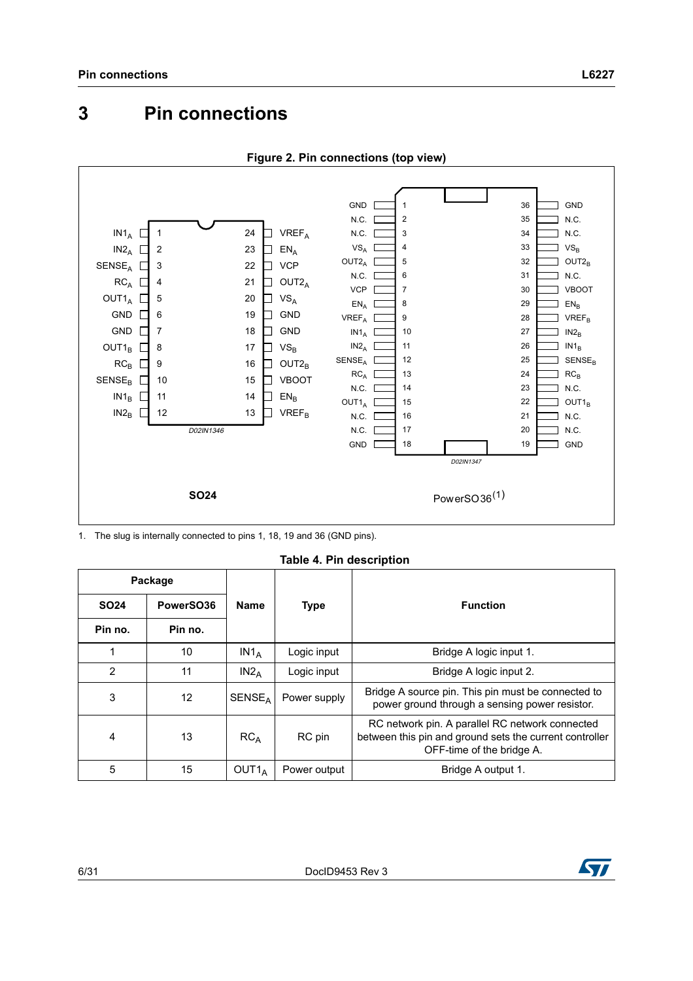<span id="page-5-0"></span>

```
Figure 2. Pin connections (top view)
```
1. The slug is internally connected to pins 1, 18, 19 and 36 (GND pins).

**Table 4. Pin description**

<span id="page-5-1"></span>

| Package        |           |                           |              |                                                                                                                                         |
|----------------|-----------|---------------------------|--------------|-----------------------------------------------------------------------------------------------------------------------------------------|
| <b>SO24</b>    | PowerSO36 | <b>Name</b>               | <b>Type</b>  | <b>Function</b>                                                                                                                         |
| Pin no.        | Pin no.   |                           |              |                                                                                                                                         |
| 1              | 10        | $IN1_A$                   | Logic input  | Bridge A logic input 1.                                                                                                                 |
| $\overline{2}$ | 11        | $IN2_A$                   | Logic input  | Bridge A logic input 2.                                                                                                                 |
| 3              | 12        | <b>SENSE</b> <sub>A</sub> | Power supply | Bridge A source pin. This pin must be connected to<br>power ground through a sensing power resistor.                                    |
| 4              | 13        | RC <sub>A</sub>           | RC pin       | RC network pin. A parallel RC network connected<br>between this pin and ground sets the current controller<br>OFF-time of the bridge A. |
| 5              | 15        | OUT1 <sub>A</sub>         | Power output | Bridge A output 1.                                                                                                                      |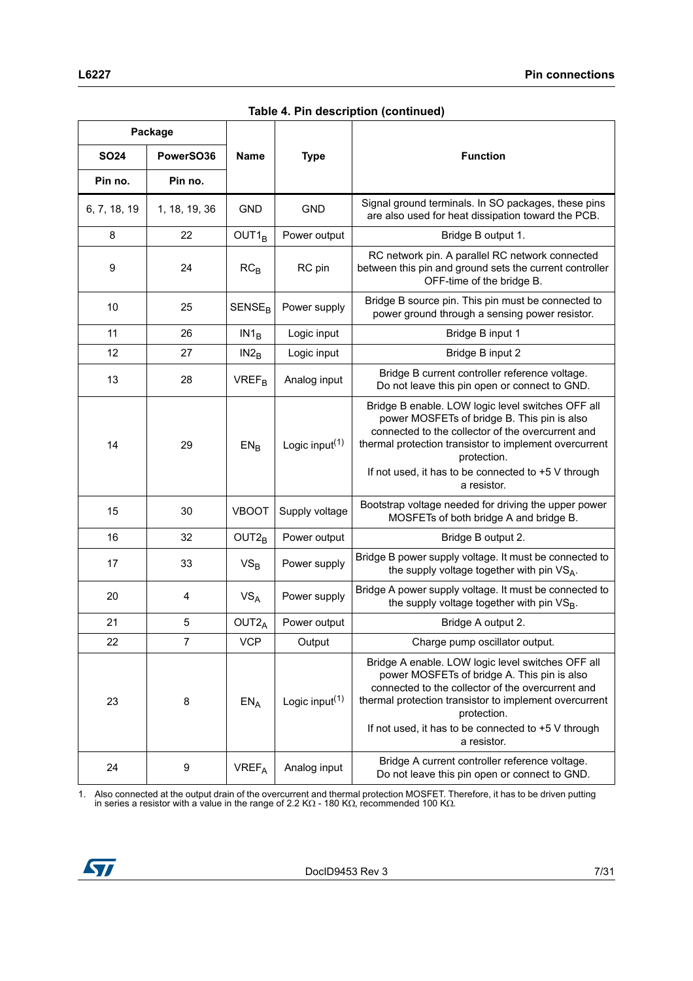|              | Package       |                         |                                         |                                                                                                                                                                                                                                                                                                      |
|--------------|---------------|-------------------------|-----------------------------------------|------------------------------------------------------------------------------------------------------------------------------------------------------------------------------------------------------------------------------------------------------------------------------------------------------|
| <b>SO24</b>  | PowerSO36     | <b>Name</b>             | <b>Type</b>                             | <b>Function</b>                                                                                                                                                                                                                                                                                      |
| Pin no.      | Pin no.       |                         |                                         |                                                                                                                                                                                                                                                                                                      |
| 6, 7, 18, 19 | 1, 18, 19, 36 | <b>GND</b>              | <b>GND</b>                              | Signal ground terminals. In SO packages, these pins<br>are also used for heat dissipation toward the PCB.                                                                                                                                                                                            |
| 8            | 22            | $OUT1_B$                | Power output                            | Bridge B output 1.                                                                                                                                                                                                                                                                                   |
| 9            | 24            | $RC_B$                  | RC pin                                  | RC network pin. A parallel RC network connected<br>between this pin and ground sets the current controller<br>OFF-time of the bridge B.                                                                                                                                                              |
| 10           | 25            | SENSE <sub>B</sub>      | Power supply                            | Bridge B source pin. This pin must be connected to<br>power ground through a sensing power resistor.                                                                                                                                                                                                 |
| 11           | 26            | IN1 <sub>B</sub>        | Logic input                             | Bridge B input 1                                                                                                                                                                                                                                                                                     |
| 12           | 27            | $IN2_B$                 | Logic input                             | Bridge B input 2                                                                                                                                                                                                                                                                                     |
| 13           | 28            | <b>VREF<sub>B</sub></b> | Analog input                            | Bridge B current controller reference voltage.<br>Do not leave this pin open or connect to GND.                                                                                                                                                                                                      |
| 14           | 29            | $EN_B$                  | Logic input <sup><math>(1)</math></sup> | Bridge B enable. LOW logic level switches OFF all<br>power MOSFETs of bridge B. This pin is also<br>connected to the collector of the overcurrent and<br>thermal protection transistor to implement overcurrent<br>protection.<br>If not used, it has to be connected to +5 V through<br>a resistor. |
| 15           | 30            | <b>VBOOT</b>            | Supply voltage                          | Bootstrap voltage needed for driving the upper power<br>MOSFETs of both bridge A and bridge B.                                                                                                                                                                                                       |
| 16           | 32            | $OUT2_B$                | Power output                            | Bridge B output 2.                                                                                                                                                                                                                                                                                   |
| 17           | 33            | $VS_B$                  | Power supply                            | Bridge B power supply voltage. It must be connected to<br>the supply voltage together with pin VS <sub>A</sub> .                                                                                                                                                                                     |
| 20           | 4             | VS <sub>A</sub>         | Power supply                            | Bridge A power supply voltage. It must be connected to<br>the supply voltage together with pin VS <sub>B</sub> .                                                                                                                                                                                     |
| 21           | 5             | OUT <sub>2</sub>        | Power output                            | Bridge A output 2.                                                                                                                                                                                                                                                                                   |
| 22           | 7             | VCP                     | Output                                  | Charge pump oscillator output.                                                                                                                                                                                                                                                                       |
| 23           | 8             | $EN_A$                  | Logic input <sup><math>(1)</math></sup> | Bridge A enable. LOW logic level switches OFF all<br>power MOSFETs of bridge A. This pin is also<br>connected to the collector of the overcurrent and<br>thermal protection transistor to implement overcurrent<br>protection.<br>If not used, it has to be connected to +5 V through<br>a resistor. |
| 24           | 9             | <b>VREFA</b>            | Analog input                            | Bridge A current controller reference voltage.<br>Do not leave this pin open or connect to GND.                                                                                                                                                                                                      |

**Table 4. Pin description (continued)**

1. Also connected at the output drain of the overcurrent and thermal protection MOSFET. Therefore, it has to be driven putting in series a resistor with a value in the range of 2.2 K $\Omega$  - 180 K $\Omega$ , recommended 100 K $\Omega$ 

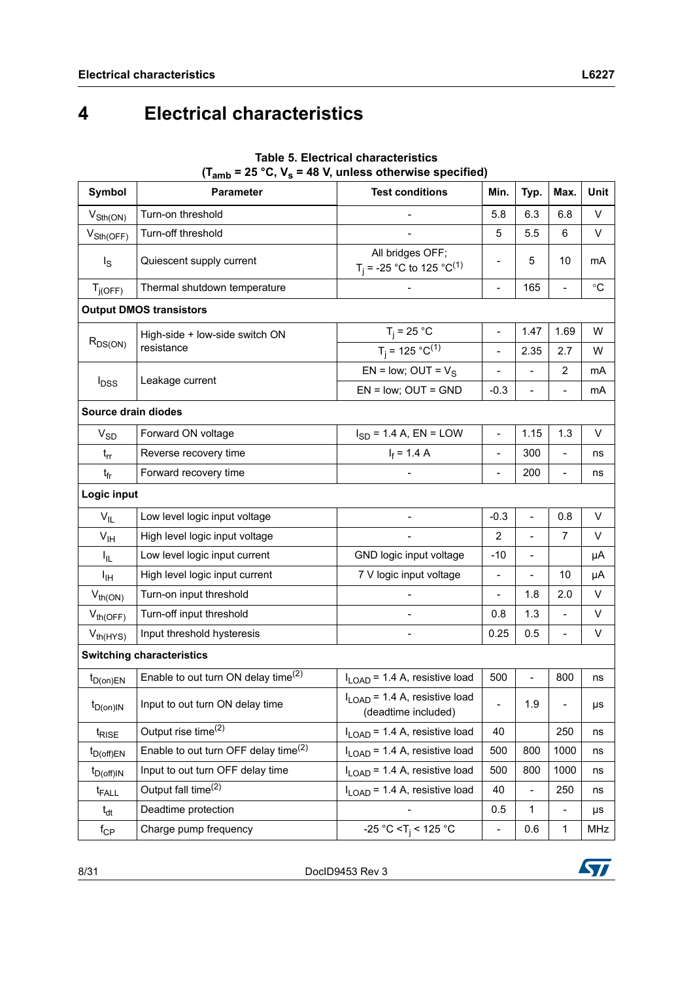# <span id="page-7-0"></span>**4 Electrical characteristics**

| Symbol                      | <b>Parameter</b>                                 | $(1amb - 2o$ C, $vs - 4o$ V, unless otherwise specified)<br><b>Test conditions</b> | Min.                     | Typ.                     | Max.           | <b>Unit</b>     |
|-----------------------------|--------------------------------------------------|------------------------------------------------------------------------------------|--------------------------|--------------------------|----------------|-----------------|
| $V_{\text{Sth}(\text{ON})}$ | Turn-on threshold                                |                                                                                    | 5.8                      | 6.3                      | 6.8            | V               |
| $V_{\text{Sth(OFF)}}$       | Turn-off threshold                               |                                                                                    | 5                        | 5.5                      | 6              | V               |
| $I_{\rm S}$                 | Quiescent supply current                         | All bridges OFF;<br>T <sub>i</sub> = -25 °C to 125 °C <sup>(1)</sup>               | -                        | 5                        | 10             | mA              |
| $T_{j(OFF)}$                | Thermal shutdown temperature                     |                                                                                    | $\blacksquare$           | 165                      | $\overline{a}$ | $\rm ^{\circ}C$ |
|                             | <b>Output DMOS transistors</b>                   |                                                                                    |                          |                          |                |                 |
|                             | High-side + low-side switch ON                   | $T_j$ = 25 °C                                                                      | $\overline{\phantom{a}}$ | 1.47                     | 1.69           | W               |
| $R_{DS(ON)}$                | resistance                                       | $T_i = 125 °C^{(1)}$                                                               | $\blacksquare$           | 2.35                     | 2.7            | W               |
|                             |                                                  | EN = low; OUT = $V_S$                                                              | $\frac{1}{2}$            | $\overline{a}$           | $\overline{2}$ | mA              |
| $I_{DSS}$                   | Leakage current                                  | $EN = low$ ; $OUT = GND$                                                           | $-0.3$                   |                          | $\overline{a}$ | mA              |
| Source drain diodes         |                                                  |                                                                                    |                          |                          |                |                 |
| $V_{SD}$                    | Forward ON voltage                               | $I_{SD} = 1.4 A$ , EN = LOW                                                        | $\blacksquare$           | 1.15                     | 1.3            | V               |
| $t_{rr}$                    | Reverse recovery time                            | $I_f = 1.4 A$                                                                      | $\qquad \qquad -$        | 300                      | L,             | ns              |
| $t_{fr}$                    | Forward recovery time                            |                                                                                    | $\overline{\phantom{a}}$ | 200                      | $\overline{a}$ | ns              |
| Logic input                 |                                                  |                                                                                    |                          |                          |                |                 |
| $V_{IL}$                    | Low level logic input voltage                    |                                                                                    | $-0.3$                   | $\overline{a}$           | 0.8            | V               |
| V <sub>IH</sub>             | High level logic input voltage                   |                                                                                    | $\overline{2}$           |                          | $\overline{7}$ | V               |
| Ι <sub>ΙL</sub>             | Low level logic input current                    | GND logic input voltage                                                            | $-10$                    | $\overline{a}$           |                | μA              |
| Iщ                          | High level logic input current                   | 7 V logic input voltage                                                            | $\blacksquare$           | $\overline{\phantom{0}}$ | 10             | μA              |
| $V_{th(ON)}$                | Turn-on input threshold                          |                                                                                    | $\overline{\phantom{a}}$ | 1.8                      | 2.0            | V               |
| $V_{th(OFF)}$               | Turn-off input threshold                         |                                                                                    | 0.8                      | 1.3                      | L,             | V               |
| $V_{th(HYS)}$               | Input threshold hysteresis                       |                                                                                    | 0.25                     | 0.5                      |                | V               |
|                             | <b>Switching characteristics</b>                 |                                                                                    |                          |                          |                |                 |
| $t_{D(0n)EN}$               | Enable to out turn ON delay time <sup>(2)</sup>  | I <sub>LOAD</sub> = 1.4 A, resistive load                                          | 500                      | $\frac{1}{2}$            | 800            | ns              |
| $t_{D(0n)IN}$               | Input to out turn ON delay time                  | $I_{\text{LOAD}}$ = 1.4 A, resistive load<br>(deadtime included)                   | -                        | 1.9                      |                | μs              |
| t <sub>RISE</sub>           | Output rise time <sup>(2)</sup>                  | $I_{\text{LOAD}}$ = 1.4 A, resistive load                                          | 40                       |                          | 250            | ns              |
| $t_{D(off)EN}$              | Enable to out turn OFF delay time <sup>(2)</sup> | $I_{\text{LOAD}}$ = 1.4 A, resistive load                                          | 500                      | 800                      | 1000           | ns              |
| $t_{D(off)IN}$              | Input to out turn OFF delay time                 | I <sub>LOAD</sub> = 1.4 A, resistive load                                          | 500                      | 800                      | 1000           | ns              |
| t <sub>FALL</sub>           | Output fall time <sup>(2)</sup>                  | I <sub>LOAD</sub> = 1.4 A, resistive load                                          | 40                       | $\frac{1}{2}$            | 250            | ns              |
| $t_{dt}$                    | Deadtime protection                              |                                                                                    | 0.5                      | 1                        |                | μs              |
| $f_{\mathsf{CP}}$           | Charge pump frequency                            | -25 °C < T <sub>i</sub> < 125 °C                                                   | $\overline{a}$           | 0.6                      | $\mathbf{1}$   | MHz             |

#### **Table 5. Electrical characteristics**   $(T_{sub} = 25 \degree C$ ,  $V_s = 48$  V, unless otherwise specified)

8/31 DocID9453 Rev 3

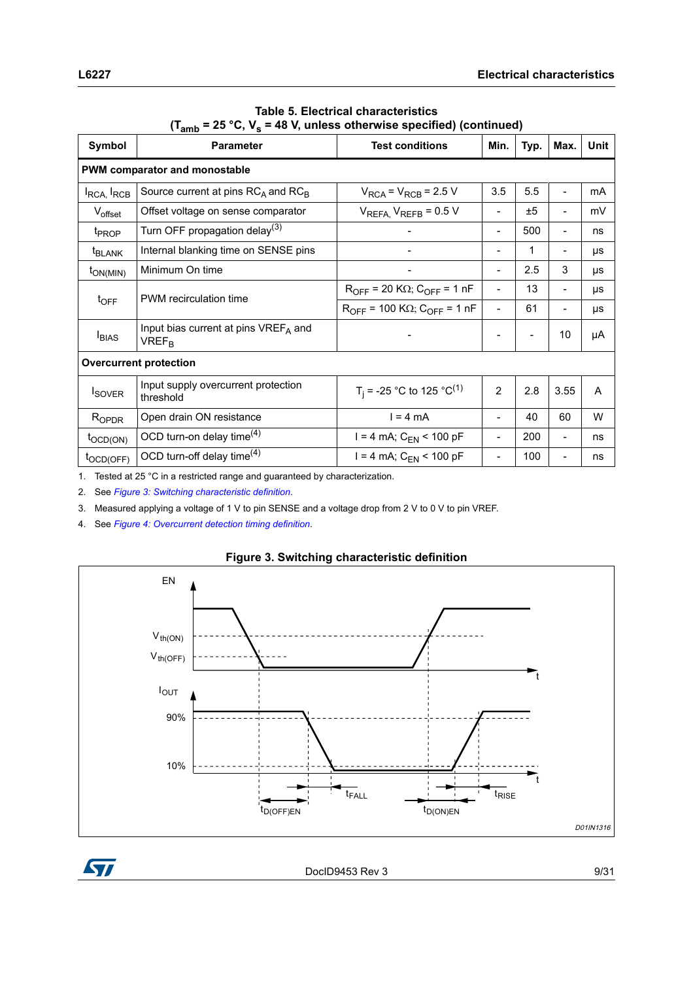| ∖∙amp<br>-, - s                    |                                                                 |                                                      |                          |      |                              |      |  |
|------------------------------------|-----------------------------------------------------------------|------------------------------------------------------|--------------------------|------|------------------------------|------|--|
| Symbol                             | <b>Parameter</b>                                                | <b>Test conditions</b>                               | Min.                     | Typ. | Max.                         | Unit |  |
|                                    | PWM comparator and monostable                                   |                                                      |                          |      |                              |      |  |
| I <sub>RCA,</sub> I <sub>RCB</sub> | Source current at pins $RC_A$ and $RC_B$                        | $V_{RCA}$ = $V_{RCB}$ = 2.5 V                        | 3.5                      | 5.5  |                              | mA   |  |
| Voffset                            | Offset voltage on sense comparator                              | $V_{REFA}$ , $V_{REFB}$ = 0.5 V                      | $\overline{\phantom{a}}$ | ±5   | $\qquad \qquad \blacksquare$ | mV   |  |
| t <sub>PROP</sub>                  | Turn OFF propagation delay <sup>(3)</sup>                       |                                                      | $\overline{\phantom{a}}$ | 500  | $\overline{\phantom{a}}$     | ns   |  |
| <sup>t</sup> BLANK                 | Internal blanking time on SENSE pins                            |                                                      |                          | 1    | $\overline{\phantom{a}}$     | μs   |  |
| $t_{ON(MIN)}$                      | Minimum On time                                                 |                                                      | $\overline{\phantom{a}}$ | 2.5  | 3                            | μs   |  |
| $t_{\text{OFF}}$                   | PWM recirculation time                                          | $R_{OFF}$ = 20 K $\Omega$ ; C <sub>OFF</sub> = 1 nF  | $\overline{\phantom{a}}$ | 13   | $\overline{\phantom{a}}$     | μs   |  |
|                                    |                                                                 | $R_{OFF}$ = 100 K $\Omega$ ; C <sub>OFF</sub> = 1 nF | $\overline{\phantom{0}}$ | 61   | $\qquad \qquad \blacksquare$ | μs   |  |
| $I_{BIAS}$                         | Input bias current at pins VREFA and<br><b>VREF<sub>R</sub></b> |                                                      |                          |      | 10                           | μA   |  |
| <b>Overcurrent protection</b>      |                                                                 |                                                      |                          |      |                              |      |  |
| <b>I</b> SOVER                     | Input supply overcurrent protection<br>threshold                | T <sub>i</sub> = -25 °C to 125 °C <sup>(1)</sup>     | 2                        | 2.8  | 3.55                         | A    |  |
| $R_{OPDR}$                         | Open drain ON resistance                                        | $l = 4 mA$                                           | $\blacksquare$           | 40   | 60                           | W    |  |
| $t_{\text{OCD(ON)}}$               | OCD turn-on delay time $(4)$                                    | $I = 4$ mA; $C_{FN}$ < 100 pF                        | $\overline{\phantom{a}}$ | 200  |                              | ns   |  |
| $t_{\text{OCD(OFF)}}$              | OCD turn-off delay time $(4)$                                   | $I = 4$ mA; $C_{FN}$ < 100 pF                        | $\overline{\phantom{a}}$ | 100  | $\overline{\phantom{a}}$     | ns   |  |

#### **Table 5. Electrical characteristics**   $(T_{\text{sub}} = 25 \text{ °C}$ ,  $V_s = 48 \text{ V}$ , unless otherwise specified) (continued)

1. Tested at 25 °C in a restricted range and guaranteed by characterization.

2. See *[Figure 3: Switching characteristic definition](#page-8-0)*.

3. Measured applying a voltage of 1 V to pin SENSE and a voltage drop from 2 V to 0 V to pin VREF.

4. See *[Figure 4: Overcurrent detection timing definition](#page-9-0)*.

<span id="page-8-0"></span>

#### **Figure 3. Switching characteristic definition**

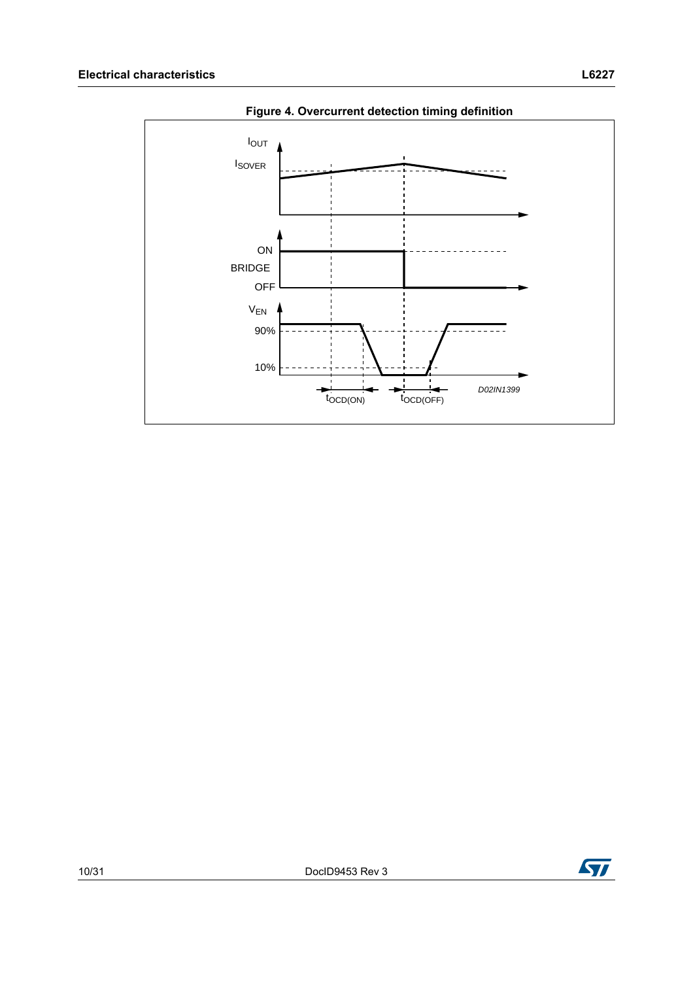<span id="page-9-0"></span>

**Figure 4. Overcurrent detection timing definition**

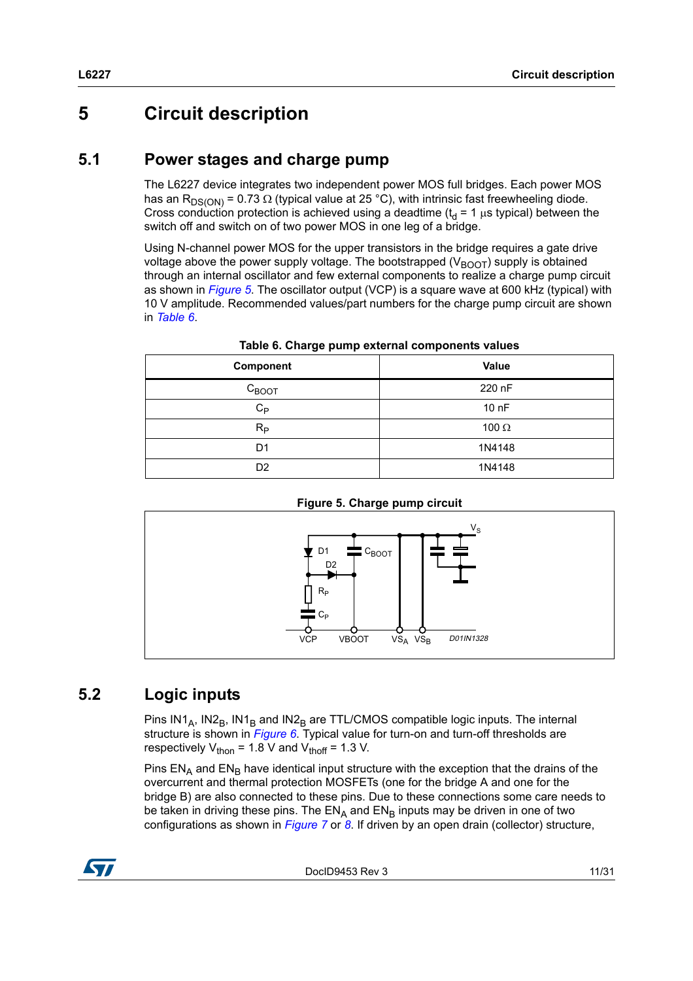## <span id="page-10-0"></span>**5 Circuit description**

#### <span id="page-10-1"></span>**5.1 Power stages and charge pump**

The L6227 device integrates two independent power MOS full bridges. Each power MOS has an R<sub>DS(ON)</sub> = 0.73  $\Omega$  (typical value at 25 °C), with intrinsic fast freewheeling diode. Cross conduction protection is achieved using a deadtime ( $t_d$  = 1  $\mu$ s typical) between the switch off and switch on of two power MOS in one leg of a bridge.

Using N-channel power MOS for the upper transistors in the bridge requires a gate drive voltage above the power supply voltage. The bootstrapped ( $V_{\text{BOOT}}$ ) supply is obtained through an internal oscillator and few external components to realize a charge pump circuit as shown in *[Figure 5](#page-10-3)*. The oscillator output (VCP) is a square wave at 600 kHz (typical) with 10 V amplitude. Recommended values/part numbers for the charge pump circuit are shown in *[Table 6](#page-10-4)*.

<span id="page-10-4"></span>

| - -<br>Component  | Value        |
|-------------------|--------------|
| $C_{\text{BOOT}}$ | 220 nF       |
| $C_{P}$           | 10 nF        |
| $R_{P}$           | 100 $\Omega$ |
| D1                | 1N4148       |
| D <sub>2</sub>    | 1N4148       |

**Table 6. Charge pump external components values**

<span id="page-10-3"></span>

**Figure 5. Charge pump circuit**

## <span id="page-10-2"></span>**5.2 Logic inputs**

Pins  $IN1_A$ ,  $IN2_B$ ,  $IN1_B$  and  $IN2_B$  are TTL/CMOS compatible logic inputs. The internal structure is shown in *[Figure 6](#page-11-0)*. Typical value for turn-on and turn-off thresholds are respectively  $V_{\text{thon}}$  = 1.8 V and  $V_{\text{thoff}}$  = 1.3 V.

Pins  $EN<sub>A</sub>$  and  $EN<sub>B</sub>$  have identical input structure with the exception that the drains of the overcurrent and thermal protection MOSFETs (one for the bridge A and one for the bridge B) are also connected to these pins. Due to these connections some care needs to be taken in driving these pins. The  $EN_A$  and  $EN_B$  inputs may be driven in one of two configurations as shown in *[Figure 7](#page-11-1)* or *[8](#page-11-2)*. If driven by an open drain (collector) structure,



DocID9453 Rev 3 11/31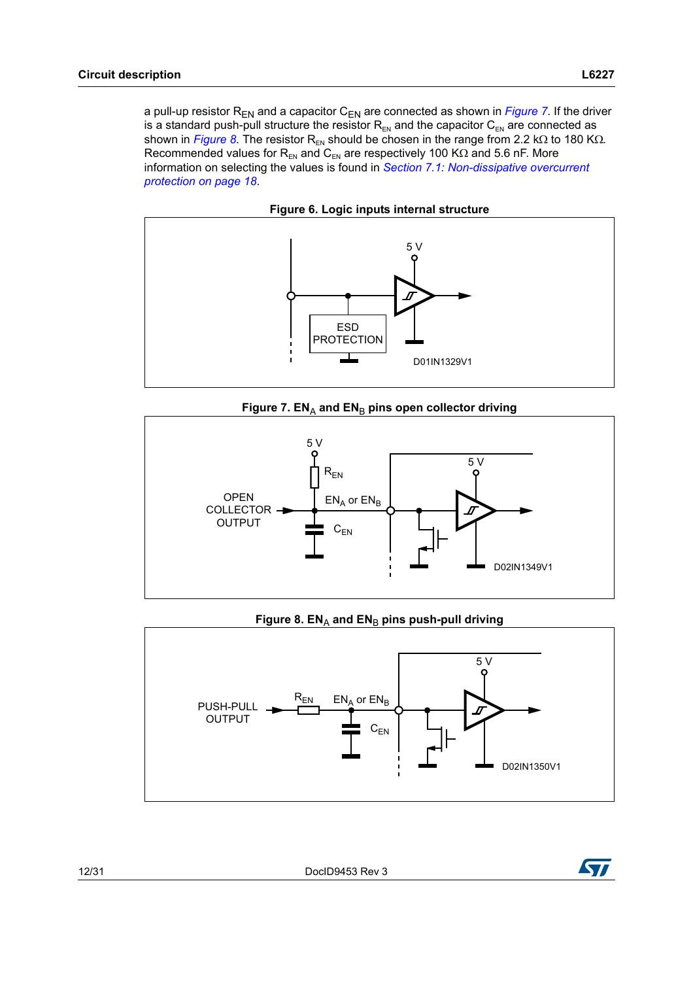a pull-up resistor  $R_{EN}$  and a capacitor  $C_{EN}$  are connected as shown in *[Figure 7](#page-11-1)*. If the driver is a standard push-pull structure the resistor  $R_{EN}$  and the capacitor  $C_{EN}$  are connected as shown in *[Figure 8](#page-11-2)*. The resistor R<sub>EN</sub> should be chosen in the range from 2.2 k $\Omega$  to 180 K $\Omega$ . Recommended values for  $R_{EN}$  and  $C_{EN}$  are respectively 100 K $\Omega$  and 5.6 nF. More information on selecting the values is found in *[Section 7.1: Non-dissipative overcurrent](#page-17-1)  [protection on page 18](#page-17-1)*.



<span id="page-11-0"></span>



<span id="page-11-1"></span>

#### Figure 8. EN<sub>A</sub> and EN<sub>B</sub> pins push-pull driving

<span id="page-11-2"></span>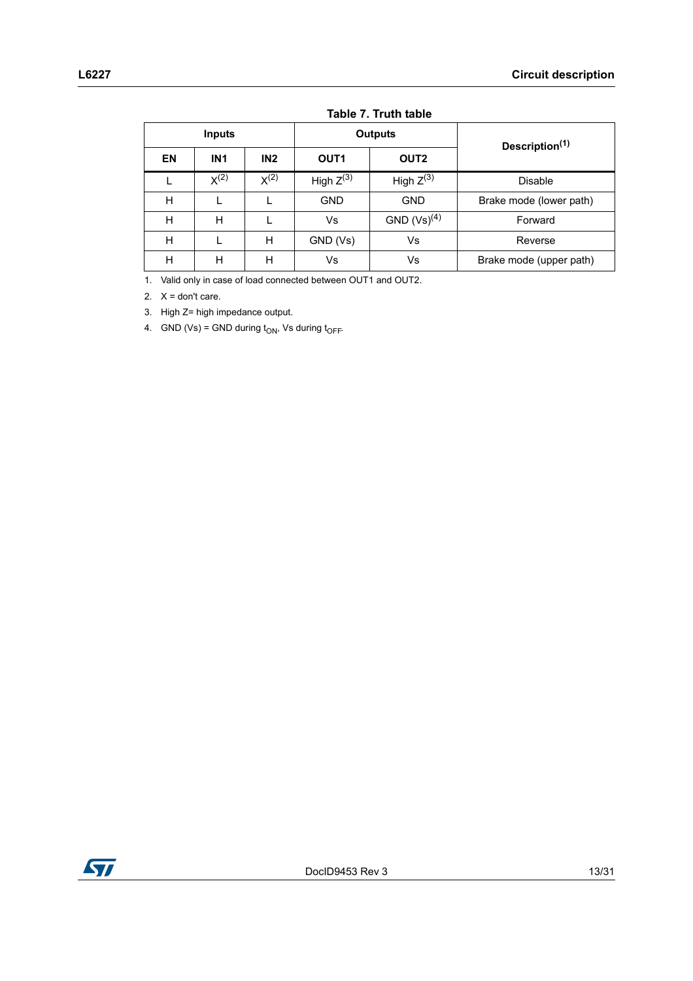| Inputs |                 |           |                  | <b>Outputs</b>   | Description <sup>(1)</sup> |  |  |
|--------|-----------------|-----------|------------------|------------------|----------------------------|--|--|
| EN     | IN <sub>1</sub> | IN2       | OUT <sub>1</sub> | OUT <sub>2</sub> |                            |  |  |
|        | $X^{(2)}$       | $X^{(2)}$ | High $Z^{(3)}$   | High $Z^{(3)}$   | <b>Disable</b>             |  |  |
| H      |                 |           | <b>GND</b>       | <b>GND</b>       | Brake mode (lower path)    |  |  |
| н      | н               |           | Vs               | $GND (Vs)^{(4)}$ | Forward                    |  |  |
| н      |                 | н         | GND (Vs)         | Vs               | Reverse                    |  |  |
| H      | н               | н         | Vs               | Vs               | Brake mode (upper path)    |  |  |

#### **Table 7. Truth table**

1. Valid only in case of load connected between OUT1 and OUT2.

2.  $X =$  don't care.

3. High Z= high impedance output.

4. GND (Vs) = GND during  $t_{ON}$ , Vs during  $t_{OFF}$ .

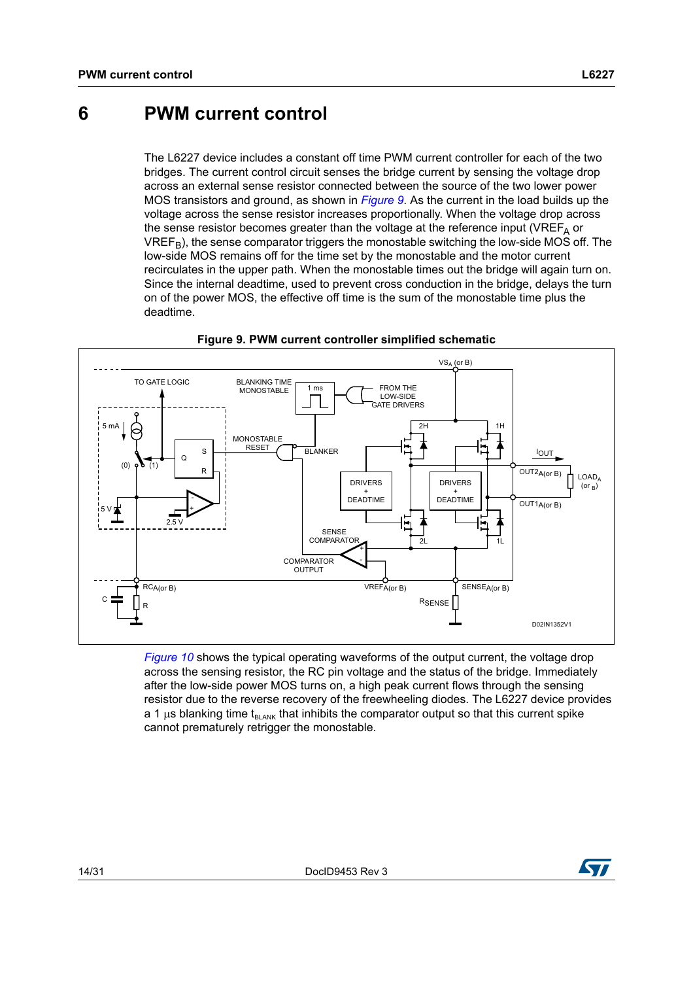## <span id="page-13-0"></span>**6 PWM current control**

The L6227 device includes a constant off time PWM current controller for each of the two bridges. The current control circuit senses the bridge current by sensing the voltage drop across an external sense resistor connected between the source of the two lower power MOS transistors and ground, as shown in *[Figure 9](#page-13-1)*. As the current in the load builds up the voltage across the sense resistor increases proportionally. When the voltage drop across the sense resistor becomes greater than the voltage at the reference input (VREF<sub> $\triangle$ </sub> or  $VREF_{B}$ ), the sense comparator triggers the monostable switching the low-side MOS off. The low-side MOS remains off for the time set by the monostable and the motor current recirculates in the upper path. When the monostable times out the bridge will again turn on. Since the internal deadtime, used to prevent cross conduction in the bridge, delays the turn on of the power MOS, the effective off time is the sum of the monostable time plus the deadtime.

<span id="page-13-1"></span>

**Figure 9. PWM current controller simplified schematic**

*[Figure 10](#page-14-0)* shows the typical operating waveforms of the output current, the voltage drop across the sensing resistor, the RC pin voltage and the status of the bridge. Immediately after the low-side power MOS turns on, a high peak current flows through the sensing resistor due to the reverse recovery of the freewheeling diodes. The L6227 device provides a 1  $\mu$ s blanking time t<sub>BLANK</sub> that inhibits the comparator output so that this current spike cannot prematurely retrigger the monostable.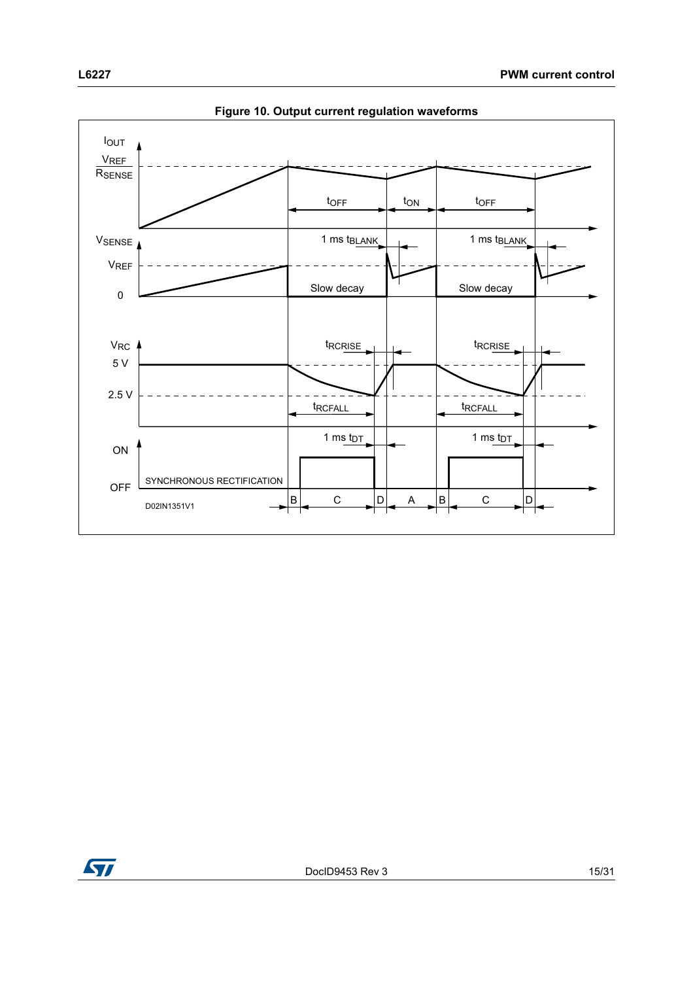<span id="page-14-0"></span>

**Figure 10. Output current regulation waveforms**

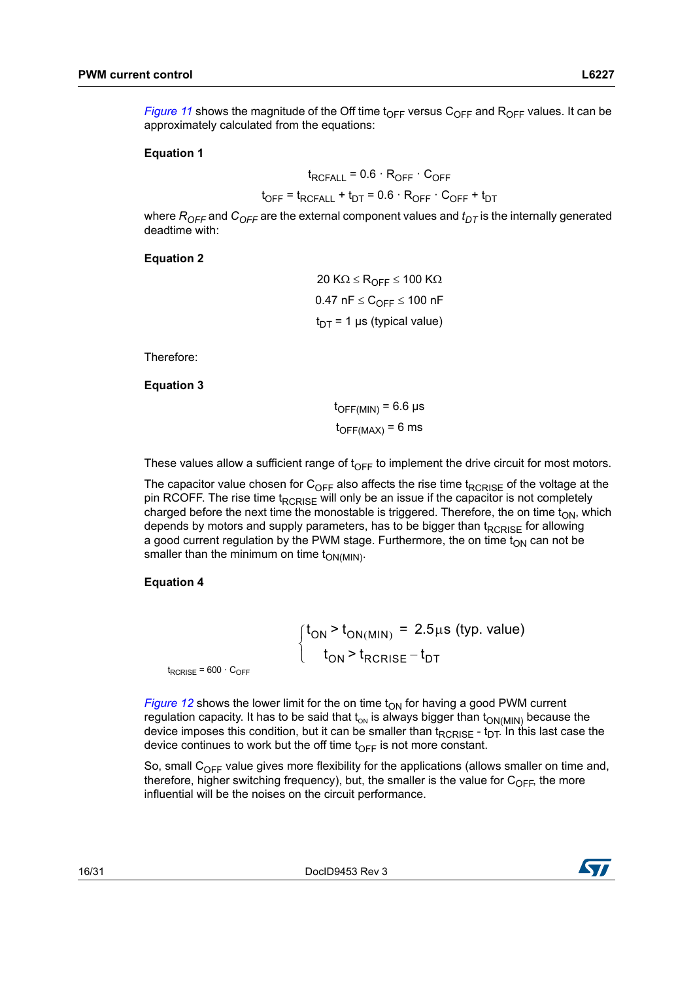*[Figure 11](#page-16-0)* shows the magnitude of the Off time  $t_{OFF}$  versus  $C_{OFF}$  and  $R_{OFF}$  values. It can be approximately calculated from the equations:

#### **Equation 1**

$$
t_{RCFALL} = 0.6 \cdot R_{OFF} \cdot C_{OFF}
$$

$$
t_{\text{OFF}} = t_{\text{RCFALL}} + t_{\text{DT}} = 0.6 \cdot R_{\text{OFF}} \cdot C_{\text{OFF}} + t_{\text{DT}}
$$

where  $R_{OFF}$  and  $C_{OFF}$  are the external component values and  $t_{DT}$  is the internally generated deadtime with:

#### **Equation 2**

20 K $\Omega \leq R_{OFF} \leq 100$  K $\Omega$  $0.47$  nF  $\leq$   $C_{\text{OFF}}$   $\leq$  100 nF  $t_{DT}$  = 1 µs (typical value)

Therefore:

**Equation 3**

 $t_{\text{OFF(MIN)}}$  = 6.6 µs  $t_{\text{OFF} (MAX)} = 6$  ms

These values allow a sufficient range of  $t_{\text{OFF}}$  to implement the drive circuit for most motors.

The capacitor value chosen for  $C_{OFF}$  also affects the rise time t<sub>RCRISF</sub> of the voltage at the pin RCOFF. The rise time  $t_{RCRISE}$  will only be an issue if the capacitor is not completely charged before the next time the monostable is triggered. Therefore, the on time  $t_{ON}$ , which depends by motors and supply parameters, has to be bigger than  $t_{RCRISE}$  for allowing a good current regulation by the PWM stage. Furthermore, the on time  $t_{ON}$  can not be smaller than the minimum on time  $t_{ON(MIN)}$ .

#### **Equation 4**

 ${\rm t_{ON}\,{>}\,{\rm t_{ON (MIN)}}}$  = 2.5 $\mu$ s (typ. value)  $\begin{cases} t_{ON} > t_{RCRISE} - t_{DT} \end{cases}$  $\left($ 

 $t_{RCRISE}$  = 600  $\cdot$  C<sub>OFF</sub>

*[Figure 12](#page-16-1)* shows the lower limit for the on time  $t_{ON}$  for having a good PWM current regulation capacity. It has to be said that  $t_{ON}$  is always bigger than  $t_{ON(MIN)}$  because the device imposes this condition, but it can be smaller than  $t_{RCRISE}$  -  $t_{DT}$ . In this last case the device continues to work but the off time  $t_{\text{OFF}}$  is not more constant.

So, small  $C_{OFF}$  value gives more flexibility for the applications (allows smaller on time and, therefore, higher switching frequency), but, the smaller is the value for  $C_{\text{OFF}}$ , the more influential will be the noises on the circuit performance.

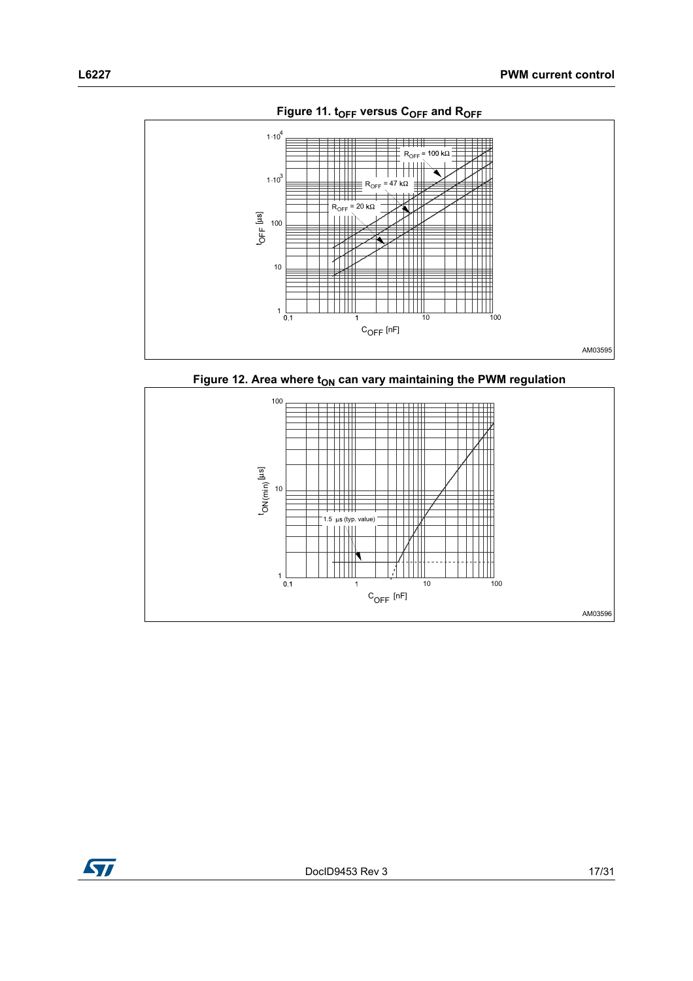<span id="page-16-0"></span>

Figure 12. Area where t<sub>ON</sub> can vary maintaining the PWM regulation

<span id="page-16-1"></span>

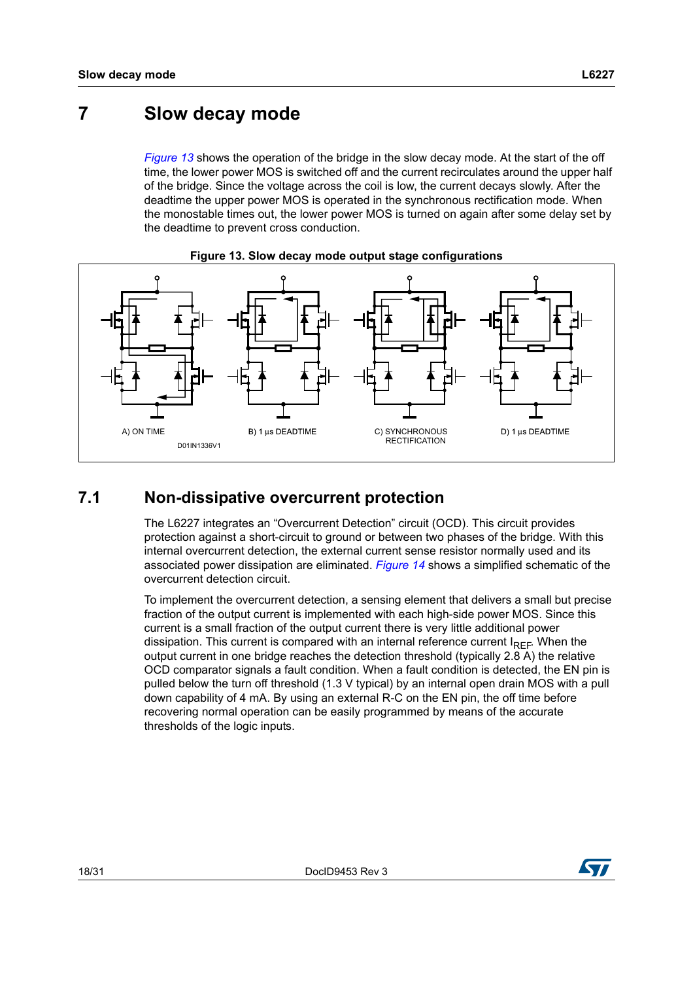## <span id="page-17-0"></span>**7 Slow decay mode**

*[Figure 13](#page-17-2)* shows the operation of the bridge in the slow decay mode. At the start of the off time, the lower power MOS is switched off and the current recirculates around the upper half of the bridge. Since the voltage across the coil is low, the current decays slowly. After the deadtime the upper power MOS is operated in the synchronous rectification mode. When the monostable times out, the lower power MOS is turned on again after some delay set by the deadtime to prevent cross conduction.

<span id="page-17-2"></span>



## <span id="page-17-1"></span>**7.1 Non-dissipative overcurrent protection**

The L6227 integrates an "Overcurrent Detection" circuit (OCD). This circuit provides protection against a short-circuit to ground or between two phases of the bridge. With this internal overcurrent detection, the external current sense resistor normally used and its associated power dissipation are eliminated. *[Figure 14](#page-18-0)* shows a simplified schematic of the overcurrent detection circuit.

To implement the overcurrent detection, a sensing element that delivers a small but precise fraction of the output current is implemented with each high-side power MOS. Since this current is a small fraction of the output current there is very little additional power dissipation. This current is compared with an internal reference current  $I_{RFF}$ . When the output current in one bridge reaches the detection threshold (typically 2.8 A) the relative OCD comparator signals a fault condition. When a fault condition is detected, the EN pin is pulled below the turn off threshold (1.3 V typical) by an internal open drain MOS with a pull down capability of 4 mA. By using an external R-C on the EN pin, the off time before recovering normal operation can be easily programmed by means of the accurate thresholds of the logic inputs.

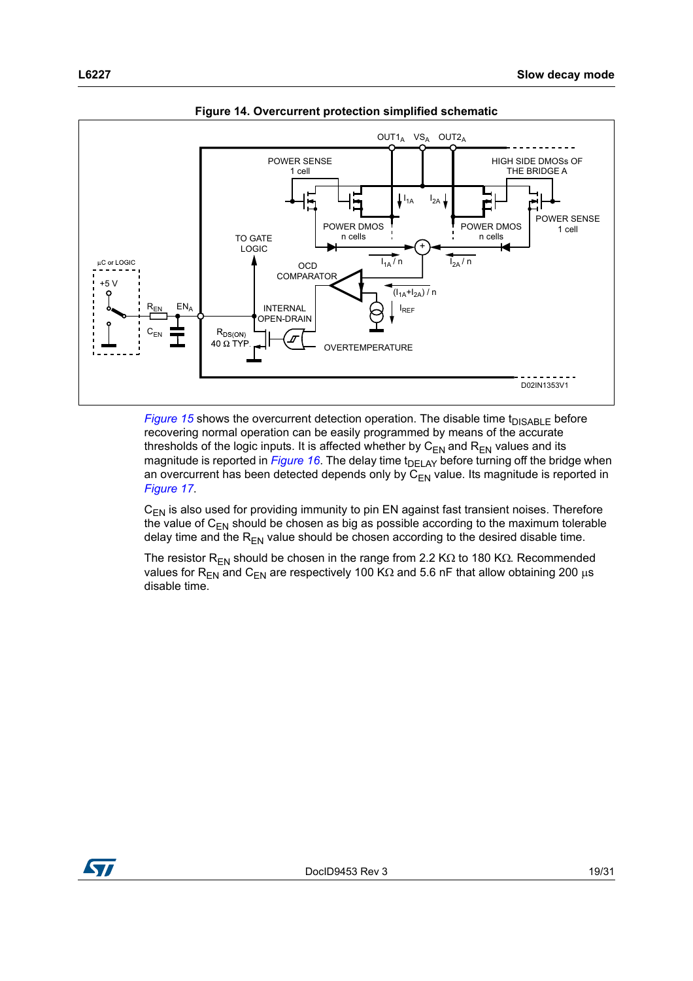<span id="page-18-0"></span>

**Figure 14. Overcurrent protection simplified schematic**

*[Figure 15](#page-19-0)* shows the overcurrent detection operation. The disable time  $t_{DISABLE}$  before recovering normal operation can be easily programmed by means of the accurate thresholds of the logic inputs. It is affected whether by  $C_{EN}$  and  $R_{EN}$  values and its magnitude is reported in *[Figure 16](#page-19-1)*. The delay time t<sub>DELAY</sub> before turning off the bridge when an overcurrent has been detected depends only by  $C_{EN}$  value. Its magnitude is reported in *[Figure 17](#page-20-1)*.

 $C_{EN}$  is also used for providing immunity to pin EN against fast transient noises. Therefore the value of  $C_{EN}$  should be chosen as big as possible according to the maximum tolerable delay time and the  $R_{EN}$  value should be chosen according to the desired disable time.

The resistor R<sub>EN</sub> should be chosen in the range from 2.2 K $\Omega$  to 180 K $\Omega$ . Recommended values for R<sub>EN</sub> and C<sub>EN</sub> are respectively 100 K $\Omega$  and 5.6 nF that allow obtaining 200 µs disable time.

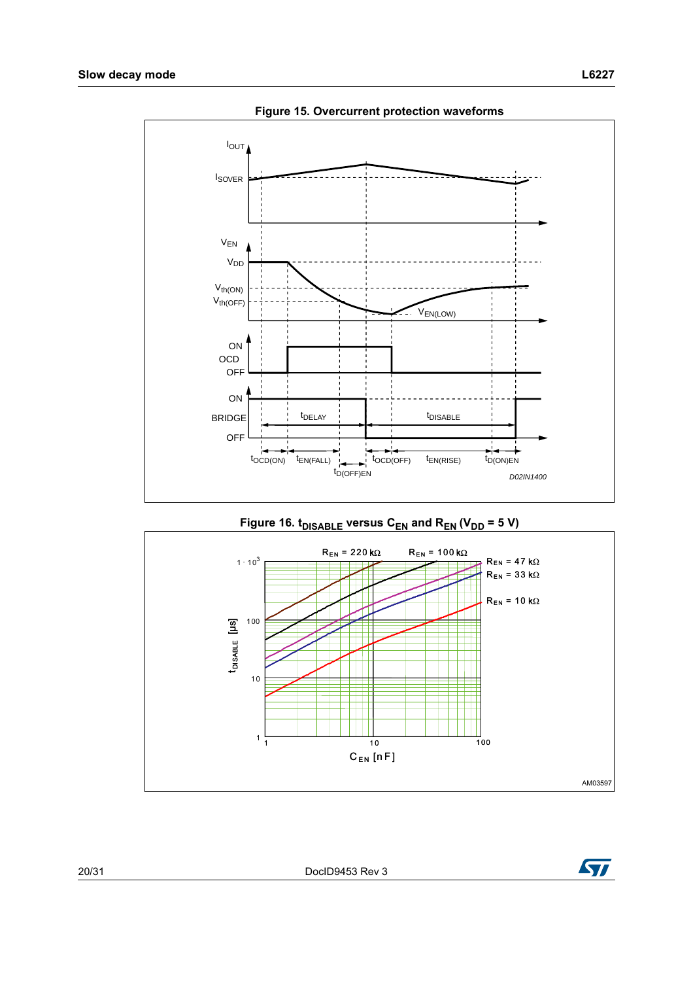<span id="page-19-0"></span>

**Figure 15. Overcurrent protection waveforms**

<span id="page-19-1"></span>

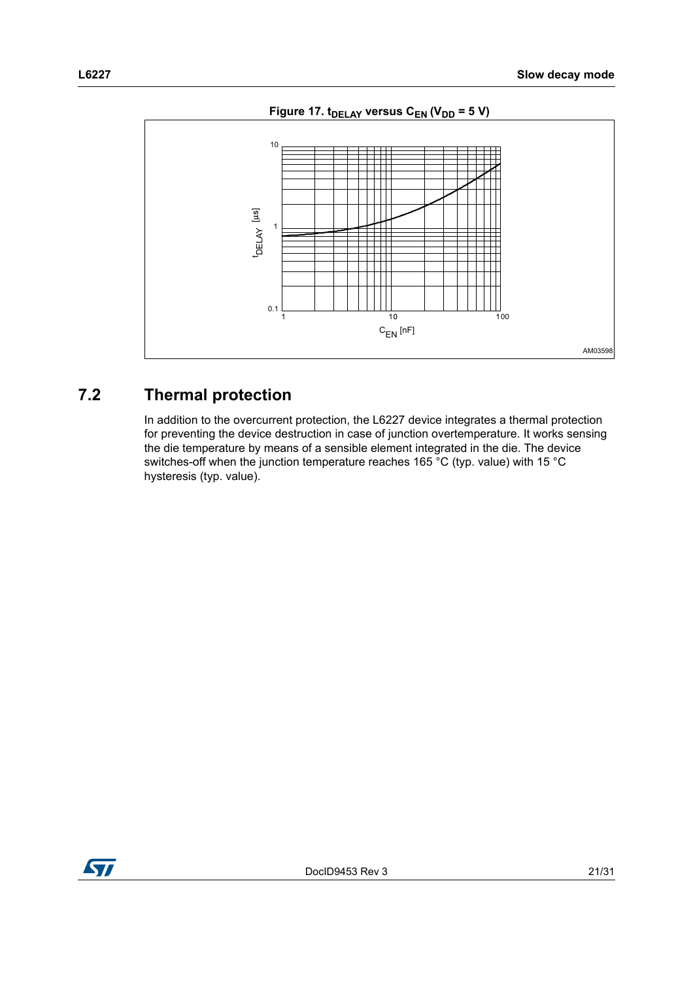<span id="page-20-1"></span>

## <span id="page-20-0"></span>**7.2 Thermal protection**

In addition to the overcurrent protection, the L6227 device integrates a thermal protection for preventing the device destruction in case of junction overtemperature. It works sensing the die temperature by means of a sensible element integrated in the die. The device switches-off when the junction temperature reaches 165 °C (typ. value) with 15 °C hysteresis (typ. value).

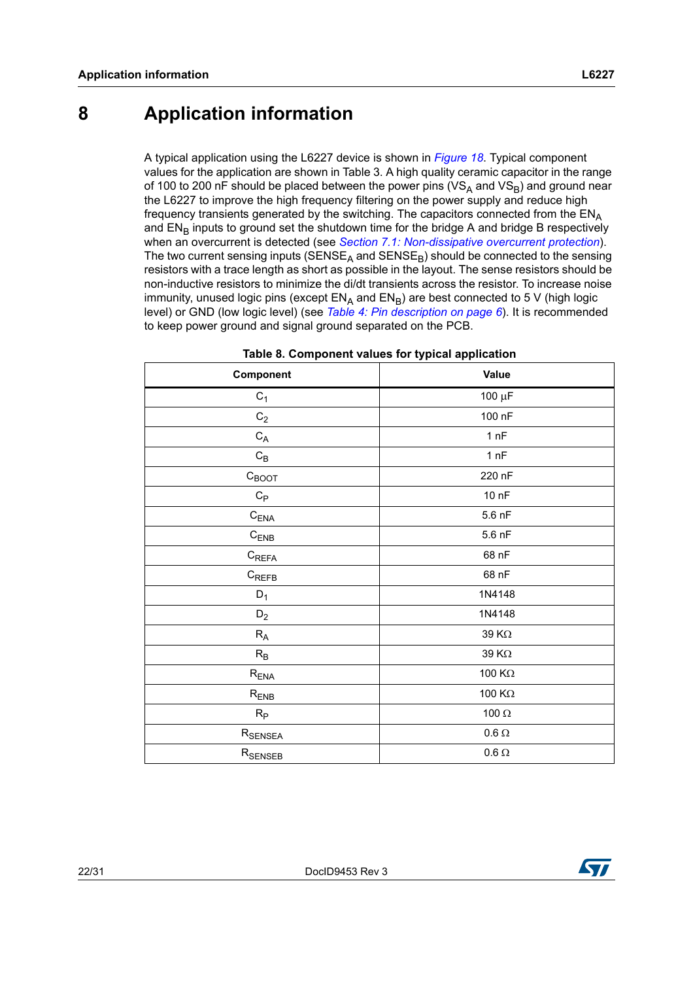## <span id="page-21-0"></span>**8 Application information**

A typical application using the L6227 device is shown in *[Figure 18](#page-22-0)*. Typical component values for the application are shown in Table 3. A high quality ceramic capacitor in the range of 100 to 200 nF should be placed between the power pins ( $VS_A$  and  $VS_B$ ) and ground near the L6227 to improve the high frequency filtering on the power supply and reduce high frequency transients generated by the switching. The capacitors connected from the ENA and  $EN_B$  inputs to ground set the shutdown time for the bridge A and bridge B respectively when an overcurrent is detected (see *[Section 7.1: Non-dissipative overcurrent protection](#page-17-1)*). The two current sensing inputs ( $SENSE<sub>A</sub>$  and  $SENSE<sub>B</sub>$ ) should be connected to the sensing resistors with a trace length as short as possible in the layout. The sense resistors should be non-inductive resistors to minimize the di/dt transients across the resistor. To increase noise immunity, unused logic pins (except  $EN_A$  and  $EN_B$ ) are best connected to 5 V (high logic level) or GND (low logic level) (see *[Table 4: Pin description on page 6](#page-5-1)*). It is recommended to keep power ground and signal ground separated on the PCB.

| Component                 | <b>Value</b>  |
|---------------------------|---------------|
| $C_1$                     | 100 μF        |
| $\mathrm{C}_2$            | 100 nF        |
| $\mathtt{C}_\mathtt{A}$   | 1 nF          |
| $\mathrm{C}_{\mathsf{B}}$ | 1 nF          |
| $C_{\text{BOOT}}$         | 220 nF        |
| $\mathtt{C}_{\mathsf{P}}$ | 10 nF         |
| $C_{ENA}$                 | 5.6 nF        |
| $\mathrm{C}_\mathsf{ENB}$ | 5.6 nF        |
| $C_{\mathsf{REFA}}$       | 68 nF         |
| $C_{REFB}$                | 68 nF         |
| $D_1$                     | 1N4148        |
| $\mathsf{D}_2$            | 1N4148        |
| $R_A$                     | 39 K $\Omega$ |
| $R_B$                     | 39 K $\Omega$ |
| $R_{ENA}$                 | 100 $K\Omega$ |
| $R_{ENB}$                 | 100 $K\Omega$ |
| $R_{\mathsf{P}}$          | 100 $\Omega$  |
| $R_{\rm SENSEA}$          | $0.6\,\Omega$ |
| $R_{\rm SENSEB}$          | $0.6\,\Omega$ |

| Table 8. Component values for typical application |  |
|---------------------------------------------------|--|
|---------------------------------------------------|--|

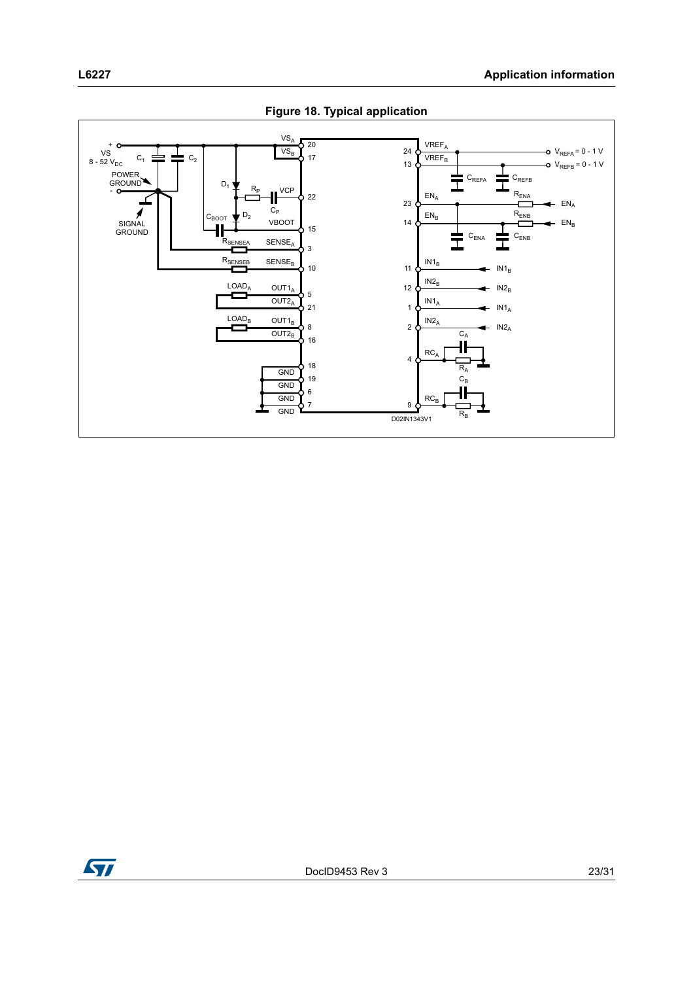<span id="page-22-0"></span>

**Figure 18. Typical application** 

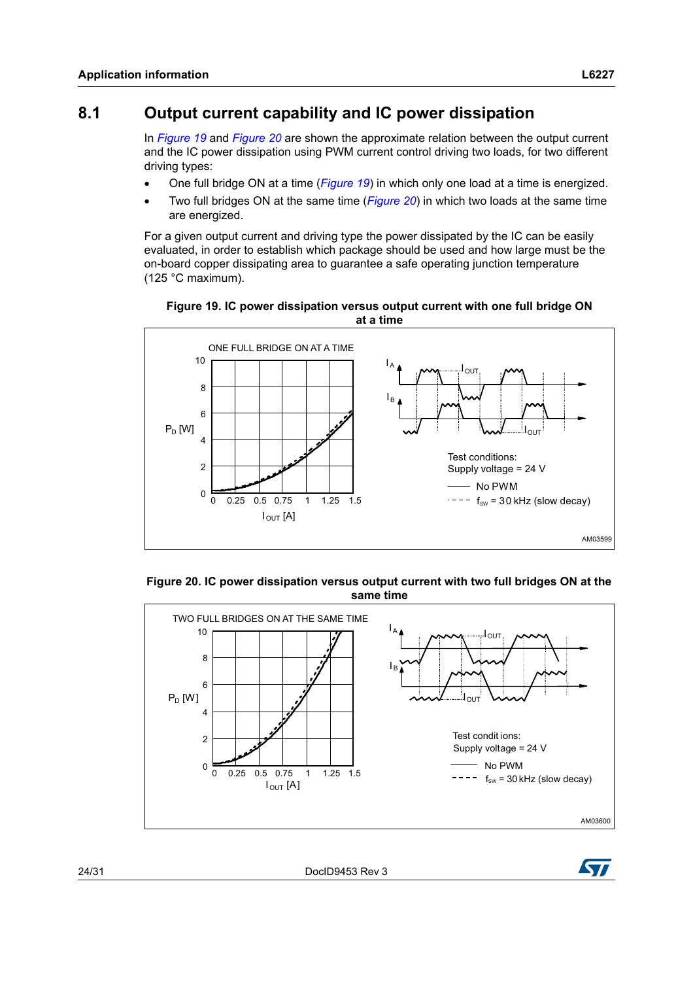## <span id="page-23-0"></span>**8.1 Output current capability and IC power dissipation**

In *[Figure 19](#page-23-1)* and *[Figure 20](#page-23-2)* are shown the approximate relation between the output current and the IC power dissipation using PWM current control driving two loads, for two different driving types:

- One full bridge ON at a time (*[Figure 19](#page-23-1)*) in which only one load at a time is energized.
- Two full bridges ON at the same time (*[Figure 20](#page-23-2)*) in which two loads at the same time are energized.

For a given output current and driving type the power dissipated by the IC can be easily evaluated, in order to establish which package should be used and how large must be the on-board copper dissipating area to guarantee a safe operating junction temperature (125 °C maximum).

<span id="page-23-1"></span>



<span id="page-23-2"></span>**Figure 20. IC power dissipation versus output current with two full bridges ON at the same time**



24/31 DocID9453 Rev 3

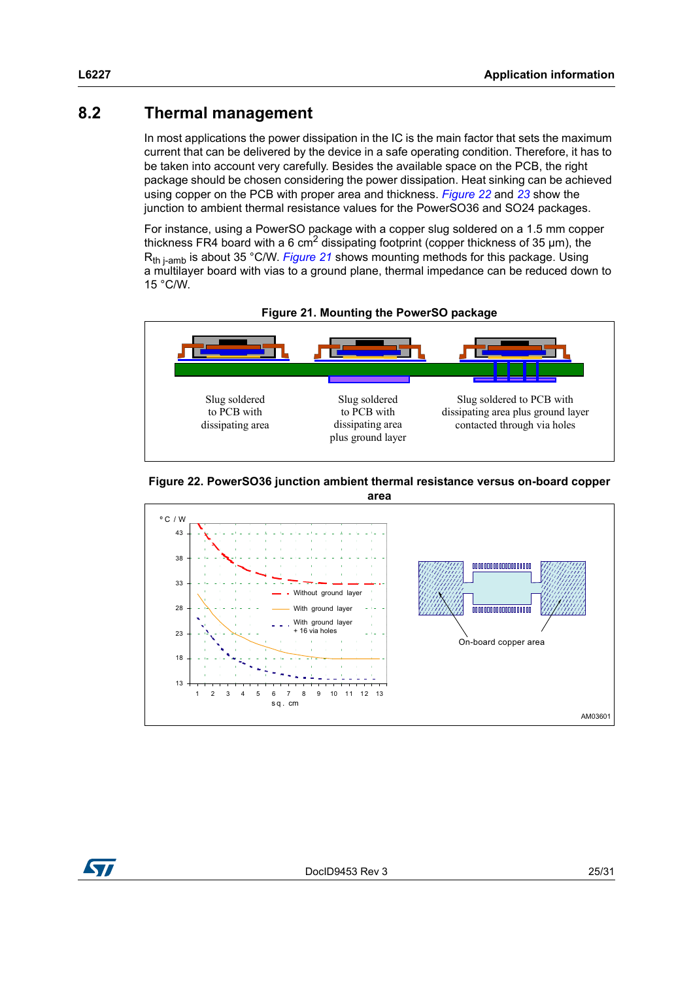## <span id="page-24-0"></span>**8.2 Thermal management**

In most applications the power dissipation in the IC is the main factor that sets the maximum current that can be delivered by the device in a safe operating condition. Therefore, it has to be taken into account very carefully. Besides the available space on the PCB, the right package should be chosen considering the power dissipation. Heat sinking can be achieved using copper on the PCB with proper area and thickness. *[Figure 22](#page-24-1)* and *[23](#page-25-0)* show the junction to ambient thermal resistance values for the PowerSO36 and SO24 packages.

For instance, using a PowerSO package with a copper slug soldered on a 1.5 mm copper thickness FR4 board with a 6 cm<sup>2</sup> dissipating footprint (copper thickness of 35  $\mu$ m), the R<sub>th i-amb</sub> is about 35 °C/W. *[Figure 21](#page-24-2)* shows mounting methods for this package. Using a multilayer board with vias to a ground plane, thermal impedance can be reduced down to 15 °C/W.

<span id="page-24-2"></span>

<span id="page-24-1"></span>



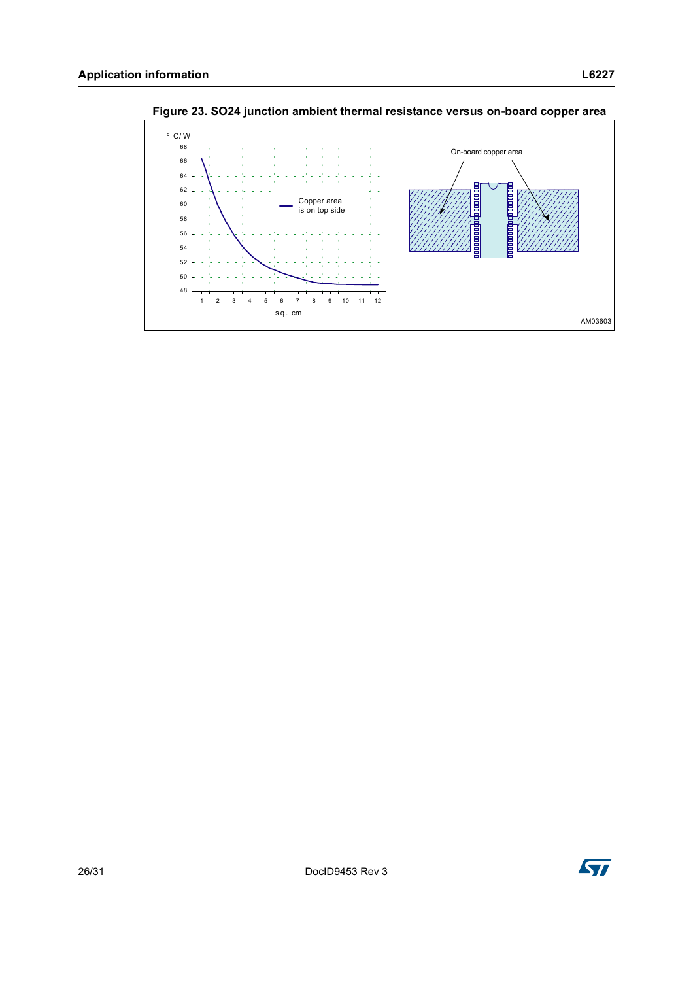

<span id="page-25-0"></span>**Figure 23. SO24 junction ambient thermal resistance versus on-board copper area**

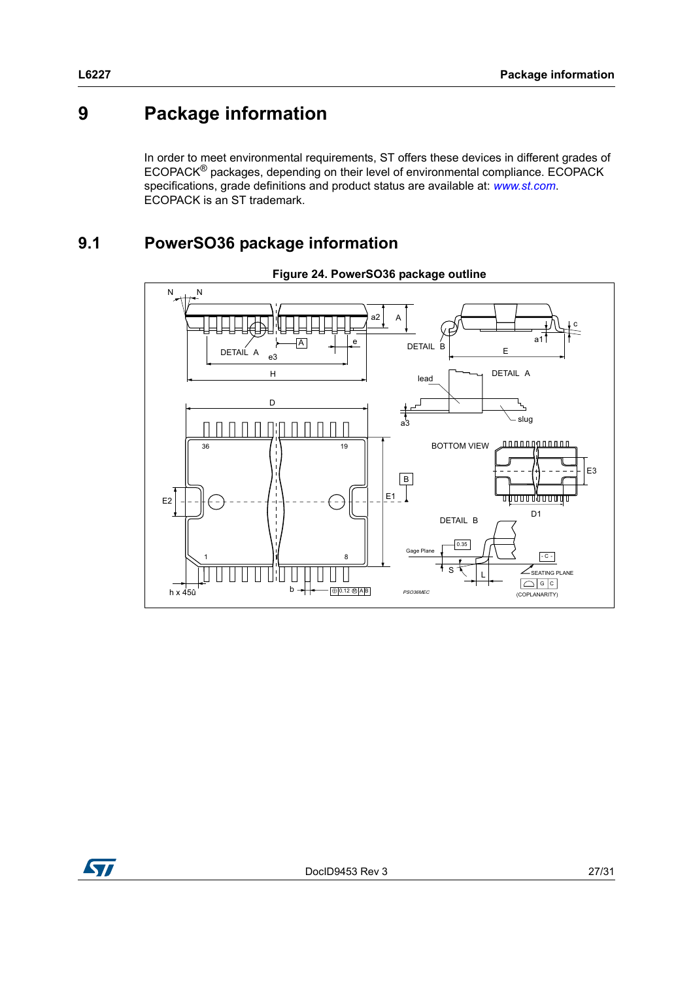# <span id="page-26-0"></span>**9 Package information**

In order to meet environmental requirements, ST offers these devices in different grades of ECOPACK® packages, depending on their level of environmental compliance. ECOPACK specifications, grade definitions and product status are available at: *[www.st.com](http://www.st.com)*. ECOPACK is an ST trademark.

## <span id="page-26-1"></span>**9.1 PowerSO36 package information**





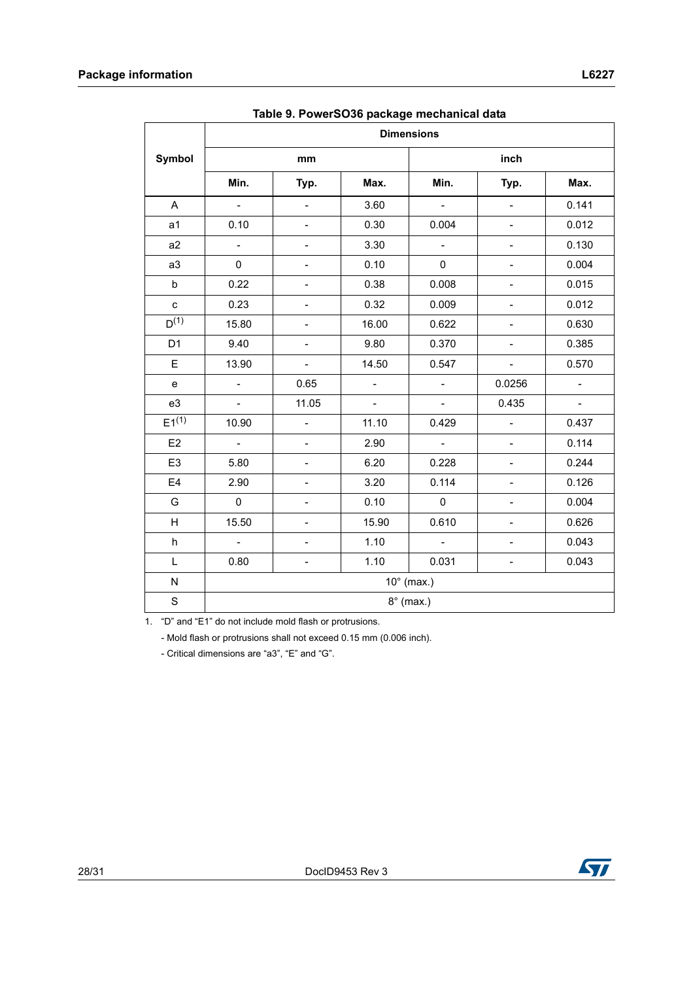|                                                | rasio or r offore edge pagnage moonamour aqui<br><b>Dimensions</b> |                              |                |                           |                              |          |  |
|------------------------------------------------|--------------------------------------------------------------------|------------------------------|----------------|---------------------------|------------------------------|----------|--|
| <b>Symbol</b>                                  | mm                                                                 |                              |                | inch                      |                              |          |  |
|                                                | Min.                                                               | Typ.                         | Max.           | Min.                      | Typ.                         | Max.     |  |
| A                                              | $\sim$                                                             | $\Box$                       | 3.60           | $\mathbb{Z}^{\mathbb{Z}}$ | $\Box$                       | 0.141    |  |
| a <sub>1</sub>                                 | 0.10                                                               | $\overline{a}$               | 0.30           | 0.004                     | $\frac{1}{2}$                | 0.012    |  |
| a2                                             | $\mathbb{Z}^2$                                                     | $\overline{\phantom{a}}$     | 3.30           | $\overline{\phantom{a}}$  | $\qquad \qquad \blacksquare$ | 0.130    |  |
| a3                                             | 0                                                                  | $\overline{\phantom{a}}$     | 0.10           | $\pmb{0}$                 | $\blacksquare$               | 0.004    |  |
| $\sf b$                                        | 0.22                                                               | $\overline{\phantom{a}}$     | 0.38           | 0.008                     | $\blacksquare$               | 0.015    |  |
| ${\bf c}$                                      | 0.23                                                               | $\blacksquare$               | 0.32           | 0.009                     | $\qquad \qquad \blacksquare$ | 0.012    |  |
| $D^{(1)}$                                      | 15.80                                                              | $\overline{\phantom{0}}$     | 16.00          | 0.622                     | $\blacksquare$               | 0.630    |  |
| D <sub>1</sub>                                 | 9.40                                                               | $\frac{1}{2}$                | 9.80           | 0.370                     | $\qquad \qquad -$            | 0.385    |  |
| E                                              | 13.90                                                              | $\overline{\phantom{0}}$     | 14.50          | 0.547                     | $\overline{\phantom{a}}$     | 0.570    |  |
| $\mathbf{e}% _{t}\left( \mathbf{1}_{t}\right)$ | $\equiv$                                                           | 0.65                         | $\Box$         | $\overline{a}$            | 0.0256                       | $\Box$   |  |
| e3                                             | $\equiv$                                                           | 11.05                        | $\blacksquare$ | $\overline{\phantom{a}}$  | 0.435                        | $\omega$ |  |
| $E1^{(1)}$                                     | 10.90                                                              | $\overline{a}$               | 11.10          | 0.429                     | $\overline{a}$               | 0.437    |  |
| E <sub>2</sub>                                 | $\omega_{\rm c}$                                                   | $\blacksquare$               | 2.90           | $\omega_{\rm c}$          | $\qquad \qquad -$            | 0.114    |  |
| E <sub>3</sub>                                 | 5.80                                                               | $\overline{\phantom{0}}$     | 6.20           | 0.228                     | $\blacksquare$               | 0.244    |  |
| E <sub>4</sub>                                 | 2.90                                                               |                              | 3.20           | 0.114                     | -                            | 0.126    |  |
| G                                              | $\mathbf 0$                                                        | $\overline{\phantom{0}}$     | 0.10           | $\pmb{0}$                 | $\qquad \qquad \blacksquare$ | 0.004    |  |
| H                                              | 15.50                                                              |                              | 15.90          | 0.610                     | $\qquad \qquad -$            | 0.626    |  |
| h                                              | $\equiv$                                                           | $\overline{a}$               | 1.10           | $\Box$                    | $\overline{\phantom{m}}$     | 0.043    |  |
| L                                              | 0.80                                                               | $\qquad \qquad \blacksquare$ | 1.10           | 0.031                     | $\qquad \qquad \blacksquare$ | 0.043    |  |
| N                                              |                                                                    |                              |                | $10^{\circ}$ (max.)       |                              |          |  |
| $\mathbf S$                                    | $8^\circ$ (max.)                                                   |                              |                |                           |                              |          |  |

**Table 9. PowerSO36 package mechanical data**

1. "D" and "E1" do not include mold flash or protrusions.

- Mold flash or protrusions shall not exceed 0.15 mm (0.006 inch).

- Critical dimensions are "a3", "E" and "G".

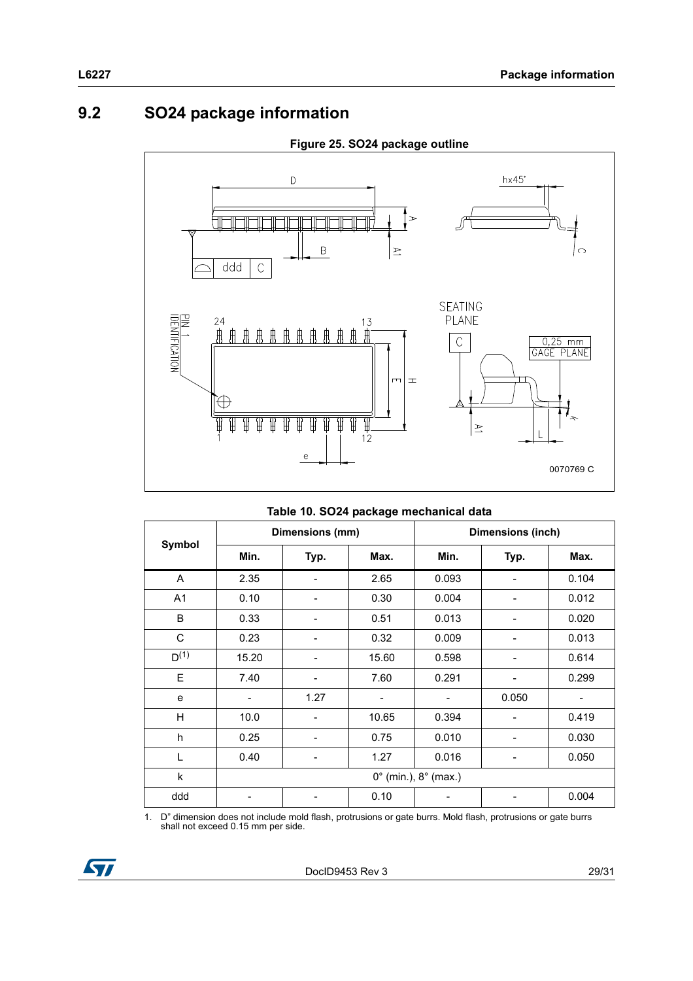## <span id="page-28-0"></span>**9.2 SO24 package information**



#### **Figure 25. SO24 package outline**

|  |  | Table 10. SO24 package mechanical data |  |
|--|--|----------------------------------------|--|
|  |  |                                        |  |

| Symbol    | Dimensions (mm)                        |                              |       | Dimensions (inch) |                |       |
|-----------|----------------------------------------|------------------------------|-------|-------------------|----------------|-------|
|           | Min.                                   | Typ.                         | Max.  | Min.              | Typ.           | Max.  |
| A         | 2.35                                   |                              | 2.65  | 0.093             |                | 0.104 |
| A1        | 0.10                                   | $\qquad \qquad \blacksquare$ | 0.30  | 0.004             | -              | 0.012 |
| B         | 0.33                                   |                              | 0.51  | 0.013             |                | 0.020 |
| C         | 0.23                                   |                              | 0.32  | 0.009             | $\overline{a}$ | 0.013 |
| $D^{(1)}$ | 15.20                                  |                              | 15.60 | 0.598             |                | 0.614 |
| E         | 7.40                                   |                              | 7.60  | 0.291             |                | 0.299 |
| e         | ۰                                      | 1.27                         | -     |                   | 0.050          |       |
| H         | 10.0                                   |                              | 10.65 | 0.394             |                | 0.419 |
| h         | 0.25                                   |                              | 0.75  | 0.010             |                | 0.030 |
| L         | 0.40                                   |                              | 1.27  | 0.016             |                | 0.050 |
| k         | $0^{\circ}$ (min.), $8^{\circ}$ (max.) |                              |       |                   |                |       |
| ddd       | -                                      |                              | 0.10  |                   |                | 0.004 |

1. D" dimension does not include mold flash, protrusions or gate burrs. Mold flash, protrusions or gate burrs shall not exceed 0.15 mm per side.

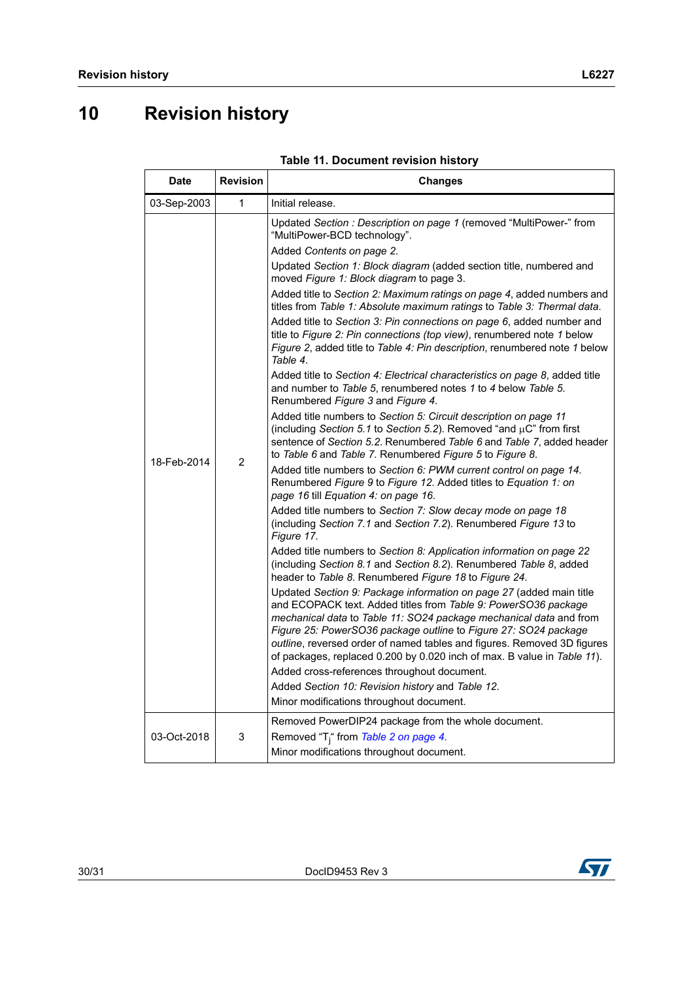# <span id="page-29-0"></span>**10 Revision history**

| <b>Date</b> | <b>Revision</b> | <b>Changes</b>                                                                                                                                                                                                                                                                                                                                                                                                                                                                                                                                                                                                                                                                                                                                                                                                                                                                                                                                                                                                                                                                                                                                                                                                                                                                                                                                                                                                                                                                                                                                                                                                                                                                                                                                                                                                                                                                                                                                                                                                                                                                                                                                                                                                                                                   |  |  |
|-------------|-----------------|------------------------------------------------------------------------------------------------------------------------------------------------------------------------------------------------------------------------------------------------------------------------------------------------------------------------------------------------------------------------------------------------------------------------------------------------------------------------------------------------------------------------------------------------------------------------------------------------------------------------------------------------------------------------------------------------------------------------------------------------------------------------------------------------------------------------------------------------------------------------------------------------------------------------------------------------------------------------------------------------------------------------------------------------------------------------------------------------------------------------------------------------------------------------------------------------------------------------------------------------------------------------------------------------------------------------------------------------------------------------------------------------------------------------------------------------------------------------------------------------------------------------------------------------------------------------------------------------------------------------------------------------------------------------------------------------------------------------------------------------------------------------------------------------------------------------------------------------------------------------------------------------------------------------------------------------------------------------------------------------------------------------------------------------------------------------------------------------------------------------------------------------------------------------------------------------------------------------------------------------------------------|--|--|
| 03-Sep-2003 | 1               | Initial release.                                                                                                                                                                                                                                                                                                                                                                                                                                                                                                                                                                                                                                                                                                                                                                                                                                                                                                                                                                                                                                                                                                                                                                                                                                                                                                                                                                                                                                                                                                                                                                                                                                                                                                                                                                                                                                                                                                                                                                                                                                                                                                                                                                                                                                                 |  |  |
| 18-Feb-2014 | $\overline{2}$  | Updated Section : Description on page 1 (removed "MultiPower-" from<br>"MultiPower-BCD technology".<br>Added Contents on page 2.<br>Updated Section 1: Block diagram (added section title, numbered and<br>moved Figure 1: Block diagram to page 3.<br>Added title to Section 2: Maximum ratings on page 4, added numbers and<br>titles from Table 1: Absolute maximum ratings to Table 3: Thermal data.<br>Added title to Section 3: Pin connections on page 6, added number and<br>title to Figure 2: Pin connections (top view), renumbered note 1 below<br>Figure 2, added title to Table 4: Pin description, renumbered note 1 below<br>Table 4.<br>Added title to Section 4: Electrical characteristics on page 8, added title<br>and number to Table 5, renumbered notes 1 to 4 below Table 5.<br>Renumbered Figure 3 and Figure 4.<br>Added title numbers to Section 5: Circuit description on page 11<br>(including Section 5.1 to Section 5.2). Removed "and $\mu$ C" from first<br>sentence of Section 5.2. Renumbered Table 6 and Table 7, added header<br>to Table 6 and Table 7. Renumbered Figure 5 to Figure 8.<br>Added title numbers to Section 6: PWM current control on page 14.<br>Renumbered Figure 9 to Figure 12. Added titles to Equation 1: on<br>page 16 till Equation 4: on page 16.<br>Added title numbers to Section 7: Slow decay mode on page 18<br>(including Section 7.1 and Section 7.2). Renumbered Figure 13 to<br>Figure 17.<br>Added title numbers to Section 8: Application information on page 22<br>(including Section 8.1 and Section 8.2). Renumbered Table 8, added<br>header to Table 8. Renumbered Figure 18 to Figure 24.<br>Updated Section 9: Package information on page 27 (added main title<br>and ECOPACK text. Added titles from Table 9: PowerSO36 package<br>mechanical data to Table 11: SO24 package mechanical data and from<br>Figure 25: PowerSO36 package outline to Figure 27: SO24 package<br>outline, reversed order of named tables and figures. Removed 3D figures<br>of packages, replaced 0.200 by 0.020 inch of max. B value in Table 11).<br>Added cross-references throughout document.<br>Added Section 10: Revision history and Table 12.<br>Minor modifications throughout document. |  |  |
| 03-Oct-2018 | 3               | Removed PowerDIP24 package from the whole document.<br>Removed "T <sub>i</sub> " from Table 2 on page 4.<br>Minor modifications throughout document.                                                                                                                                                                                                                                                                                                                                                                                                                                                                                                                                                                                                                                                                                                                                                                                                                                                                                                                                                                                                                                                                                                                                                                                                                                                                                                                                                                                                                                                                                                                                                                                                                                                                                                                                                                                                                                                                                                                                                                                                                                                                                                             |  |  |

#### **Table 11. Document revision history**